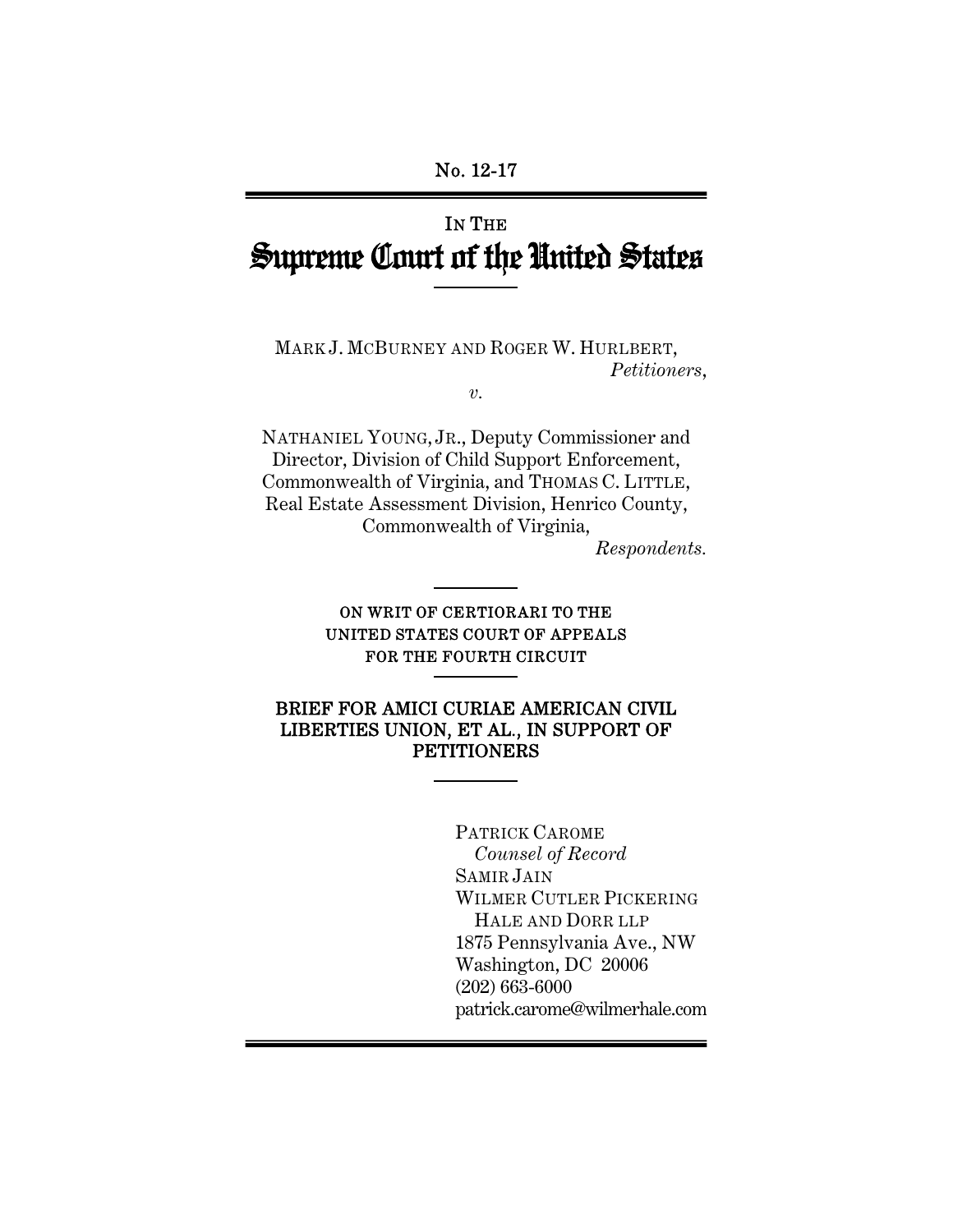# IN THE Supreme Court of the United States

MARK J. MCBURNEY AND ROGER W. HURLBERT, *Petitioners*,

*v.* 

NATHANIEL YOUNG, JR., Deputy Commissioner and Director, Division of Child Support Enforcement, Commonwealth of Virginia, and THOMAS C. LITTLE, Real Estate Assessment Division, Henrico County, Commonwealth of Virginia,

*Respondents.* 

### ON WRIT OF CERTIORARI TO THE UNITED STATES COURT OF APPEALS FOR THE FOURTH CIRCUIT

#### BRIEF FOR AMICI CURIAE AMERICAN CIVIL LIBERTIES UNION, ET AL., IN SUPPORT OF **PETITIONERS**

 PATRICK CAROME *Counsel of Record* SAMIR JAIN WILMER CUTLER PICKERING HALE AND DORR LLP 1875 Pennsylvania Ave., NW Washington, DC 20006 (202) 663-6000 patrick.carome@wilmerhale.com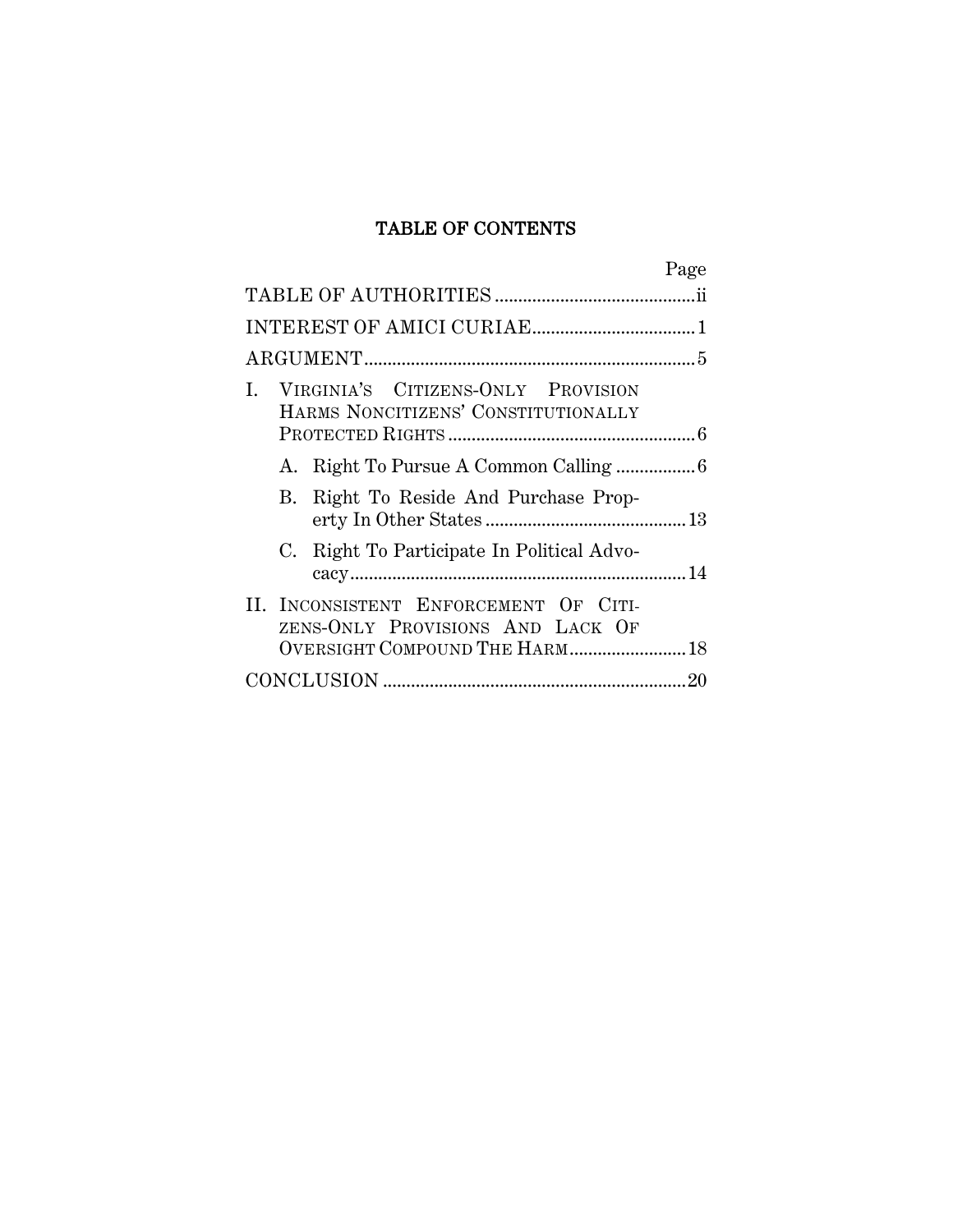### TABLE OF CONTENTS

|                                                                                                             | Page |
|-------------------------------------------------------------------------------------------------------------|------|
|                                                                                                             |      |
|                                                                                                             |      |
|                                                                                                             |      |
| VIRGINIA'S CITIZENS-ONLY PROVISION<br>L<br>HARMS NONCITIZENS' CONSTITUTIONALLY                              |      |
|                                                                                                             |      |
| Right To Reside And Purchase Prop-<br>B.                                                                    |      |
| C. Right To Participate In Political Advo-                                                                  |      |
| II. INCONSISTENT ENFORCEMENT OF CITI-<br>ZENS-ONLY PROVISIONS AND LACK OF<br>OVERSIGHT COMPOUND THE HARM 18 |      |
|                                                                                                             |      |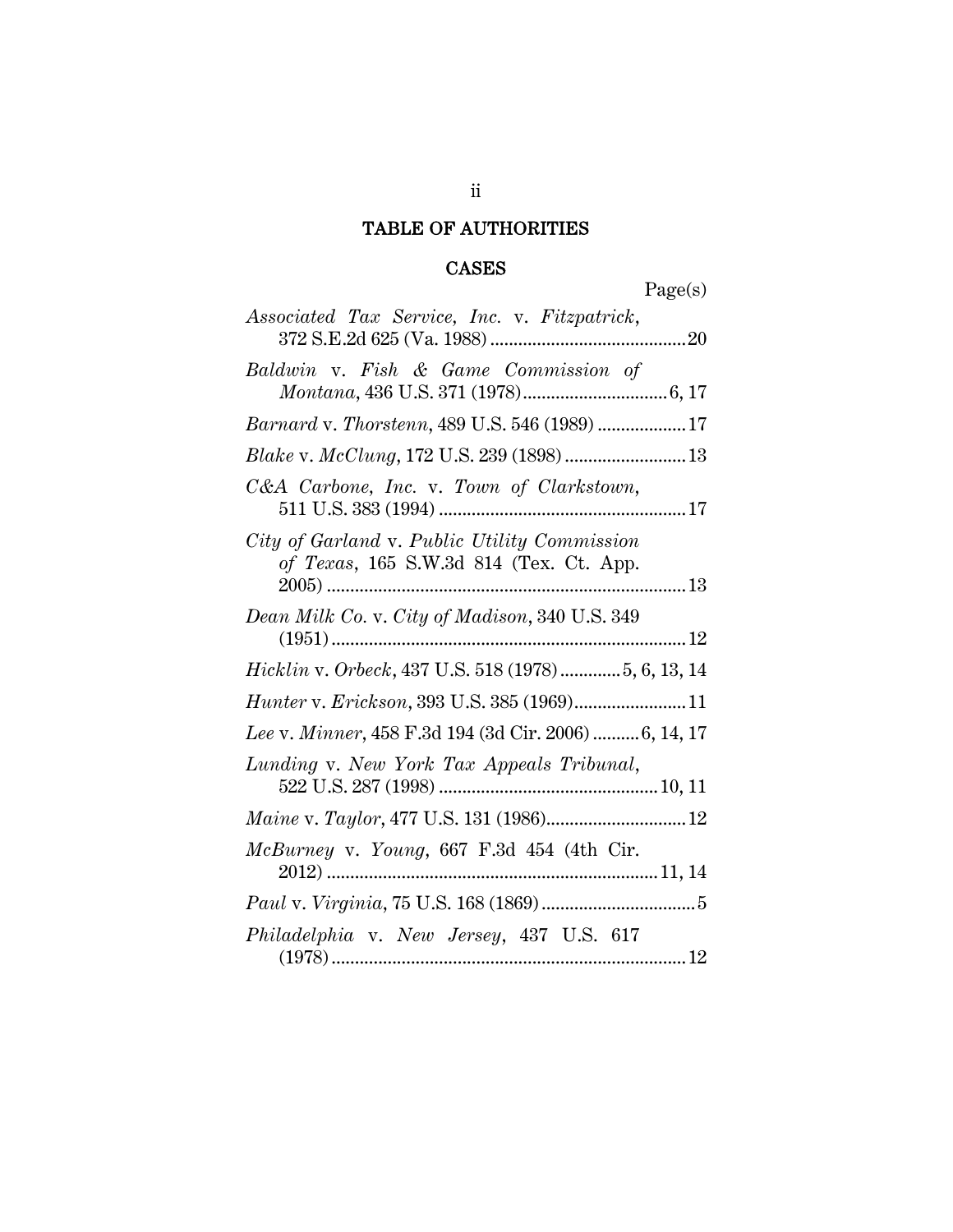## TABLE OF AUTHORITIES

### CASES

Page(s)

| Associated Tax Service, Inc. v. Fitzpatrick,                                            |
|-----------------------------------------------------------------------------------------|
| Baldwin v. Fish & Game Commission of                                                    |
| Barnard v. Thorstenn, 489 U.S. 546 (1989) 17                                            |
| Blake v. McClung, 172 U.S. 239 (1898)  13                                               |
| C&A Carbone, Inc. v. Town of Clarkstown,                                                |
| City of Garland v. Public Utility Commission<br>of Texas, 165 S.W.3d 814 (Tex. Ct. App. |
| Dean Milk Co. v. City of Madison, 340 U.S. 349                                          |
| <i>Hicklin v. Orbeck</i> , 437 U.S. 518 (1978) 5, 6, 13, 14                             |
| Hunter v. Erickson, 393 U.S. 385 (1969)11                                               |
| Lee v. Minner, 458 F.3d 194 (3d Cir. 2006) 6, 14, 17                                    |
| Lunding v. New York Tax Appeals Tribunal,                                               |
| Maine v. Taylor, 477 U.S. 131 (1986) 12                                                 |
| McBurney v. Young, 667 F.3d 454 (4th Cir.                                               |
|                                                                                         |
| Philadelphia v. New Jersey, 437 U.S. 617                                                |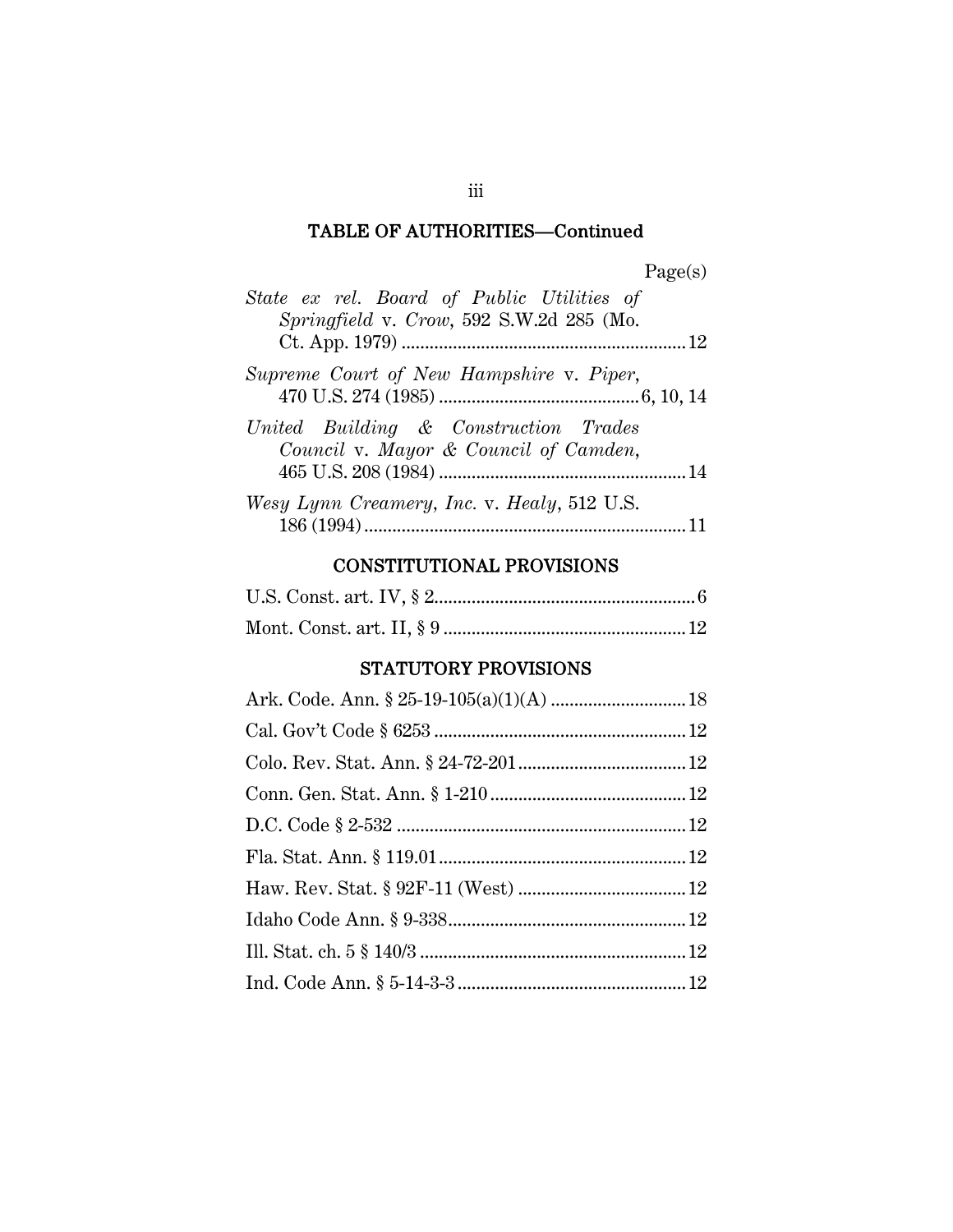| 20P<br>u<br>o |
|---------------|
|---------------|

| State ex rel. Board of Public Utilities of<br>Springfield v. Crow, 592 S.W.2d 285 (Mo. |
|----------------------------------------------------------------------------------------|
|                                                                                        |
| Supreme Court of New Hampshire v. Piper,                                               |
| United Building & Construction Trades<br>Council v. Mayor & Council of Camden,         |
| Wesy Lynn Creamery, Inc. v. Healy, 512 U.S.                                            |

### CONSTITUTIONAL PROVISIONS

### STATUTORY PROVISIONS

iii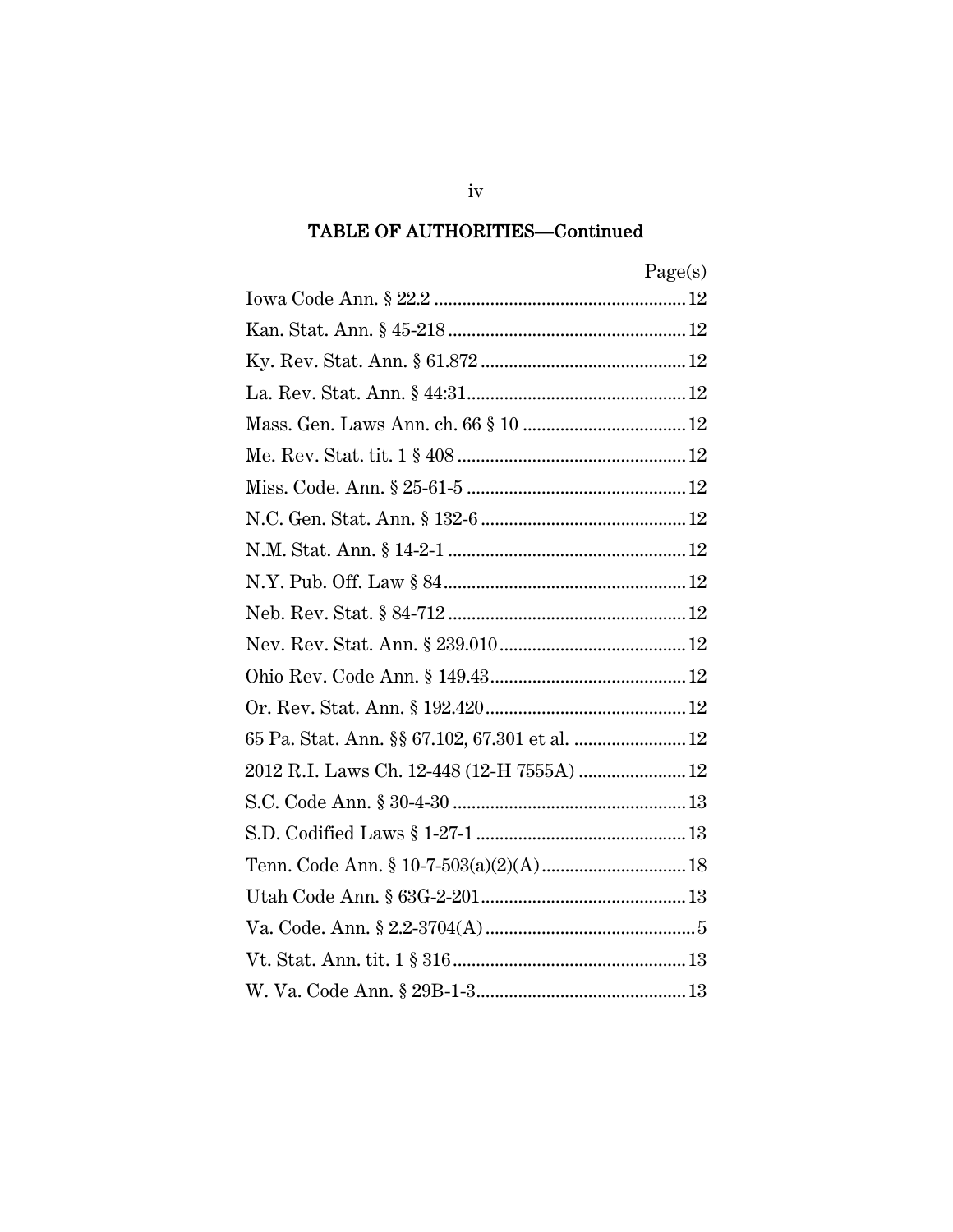|                                                | Page(s) |
|------------------------------------------------|---------|
|                                                |         |
|                                                |         |
|                                                |         |
|                                                |         |
|                                                |         |
|                                                |         |
|                                                |         |
|                                                |         |
|                                                |         |
|                                                |         |
|                                                |         |
|                                                |         |
|                                                |         |
|                                                |         |
| 65 Pa. Stat. Ann. §§ 67.102, 67.301 et al.  12 |         |
| 2012 R.I. Laws Ch. 12-448 (12-H 7555A)  12     |         |
|                                                |         |
|                                                |         |
|                                                |         |
|                                                |         |
|                                                |         |
|                                                |         |
|                                                |         |
|                                                |         |

 $iv$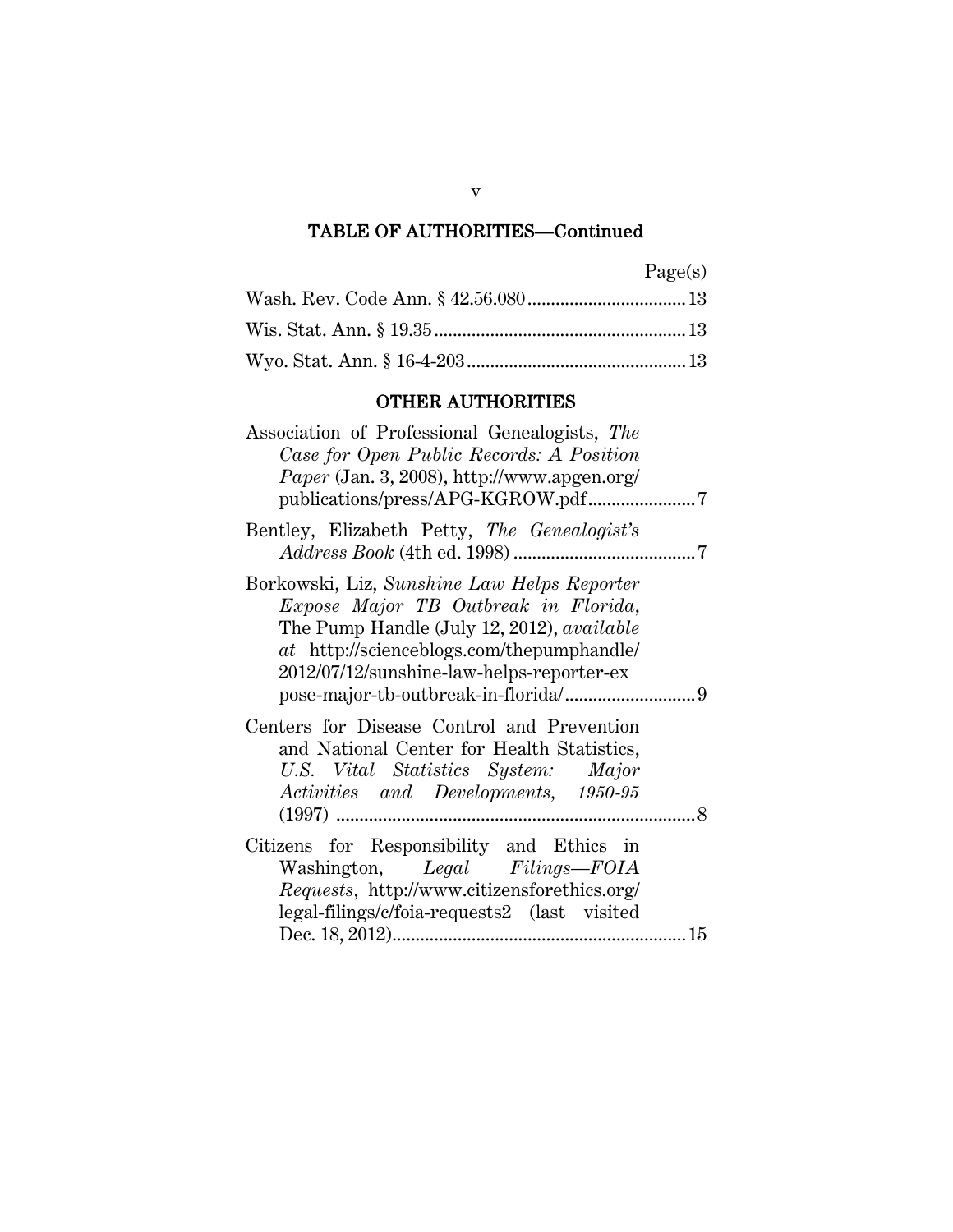| വാല<br>u |
|----------|
|----------|

### OTHER AUTHORITIES

| Association of Professional Genealogists, The<br>Case for Open Public Records: A Position<br><i>Paper</i> (Jan. 3, 2008), http://www.apgen.org/                                                                             |     |
|-----------------------------------------------------------------------------------------------------------------------------------------------------------------------------------------------------------------------------|-----|
| Bentley, Elizabeth Petty, The Genealogist's                                                                                                                                                                                 |     |
| Borkowski, Liz, Sunshine Law Helps Reporter<br>Expose Major TB Outbreak in Florida,<br>The Pump Handle (July 12, 2012), available<br>at http://scienceblogs.com/thepumphandle/<br>2012/07/12/sunshine-law-helps-reporter-ex |     |
| Centers for Disease Control and Prevention<br>and National Center for Health Statistics,<br>U.S. Vital Statistics System: Major<br>Activities and Developments, 1950-95                                                     | 8   |
| Citizens for Responsibility and Ethics in<br>Washington, Legal Filings-FOIA<br>Requests, http://www.citizensforethics.org/<br>legal-filings/c/foia-requests2 (last visited                                                  | .15 |

v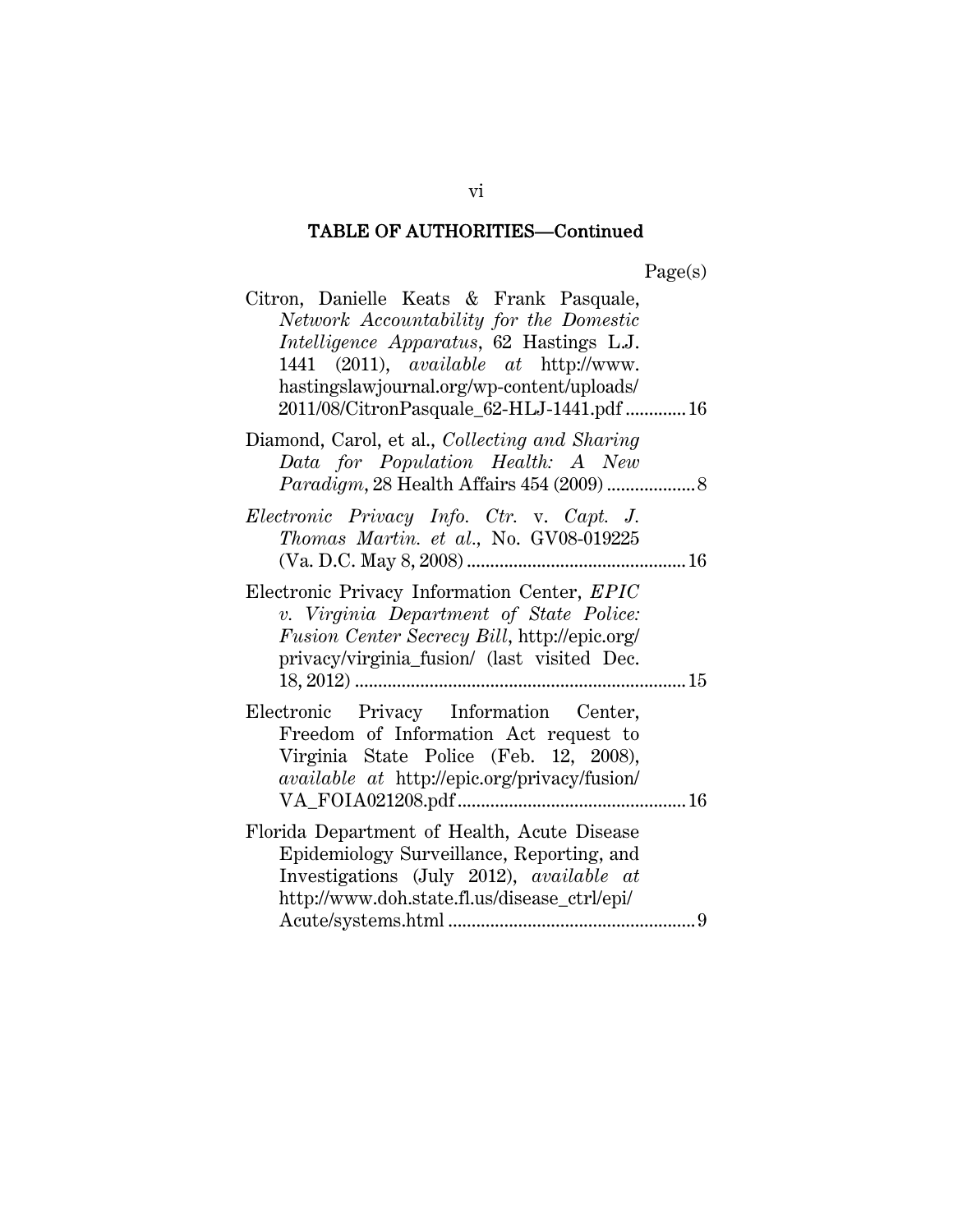| Citron, Danielle Keats & Frank Pasquale,<br>Network Accountability for the Domestic<br><i>Intelligence Apparatus</i> , 62 Hastings L.J.<br>1441 (2011), <i>available</i> at http://www.<br>hastingslawjournal.org/wp-content/uploads/<br>2011/08/CitronPasquale_62-HLJ-1441.pdf 16 |
|------------------------------------------------------------------------------------------------------------------------------------------------------------------------------------------------------------------------------------------------------------------------------------|
| Diamond, Carol, et al., Collecting and Sharing<br>Data for Population Health: A New                                                                                                                                                                                                |
| Electronic Privacy Info. Ctr. v. Capt. J.<br>Thomas Martin. et al., No. GV08-019225                                                                                                                                                                                                |
| Electronic Privacy Information Center, EPIC<br>v. Virginia Department of State Police:<br>Fusion Center Secrecy Bill, http://epic.org/<br>privacy/virginia_fusion/ (last visited Dec.                                                                                              |
| Electronic Privacy Information Center,<br>Freedom of Information Act request to<br>Virginia State Police (Feb. 12, 2008),<br><i>available at http://epic.org/privacy/fusion/</i>                                                                                                   |
| Florida Department of Health, Acute Disease<br>Epidemiology Surveillance, Reporting, and<br>Investigations (July 2012), available at<br>http://www.doh.state.fl.us/disease_ctrl/epi/                                                                                               |

vi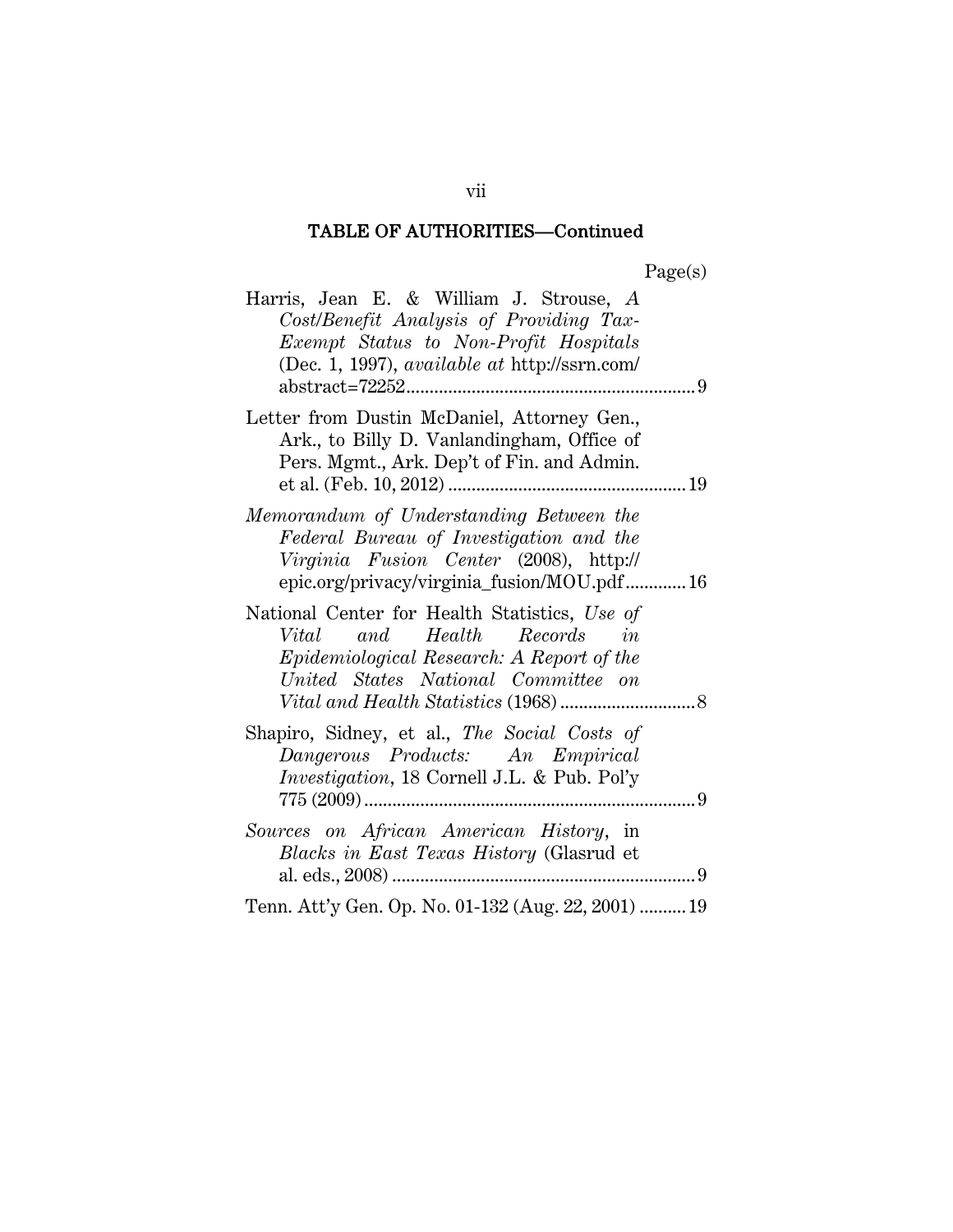| ager<br>a. |
|------------|
|------------|

| Harris, Jean E. & William J. Strouse, A<br>Cost/Benefit Analysis of Providing Tax-<br>Exempt Status to Non-Profit Hospitals<br>(Dec. 1, 1997), <i>available at http://ssrn.com/</i> |
|-------------------------------------------------------------------------------------------------------------------------------------------------------------------------------------|
|                                                                                                                                                                                     |
| Letter from Dustin McDaniel, Attorney Gen.,<br>Ark., to Billy D. Vanlandingham, Office of<br>Pers. Mgmt., Ark. Dep't of Fin. and Admin.                                             |
| Memorandum of Understanding Between the<br>Federal Bureau of Investigation and the<br>Virginia Fusion Center (2008), http://<br>epic.org/privacy/virginia_fusion/MOU.pdf16          |
| National Center for Health Statistics, Use of<br>Vital and Health<br>Records<br>in<br>Epidemiological Research: A Report of the<br>United States National Committee on              |
| Shapiro, Sidney, et al., The Social Costs of<br>Dangerous Products: An Empirical<br><i>Investigation</i> , 18 Cornell J.L. & Pub. Pol'y                                             |
| Sources on African American History, in<br>Blacks in East Texas History (Glasrud et                                                                                                 |
| Tenn. Att'y Gen. Op. No. 01-132 (Aug. 22, 2001)  19                                                                                                                                 |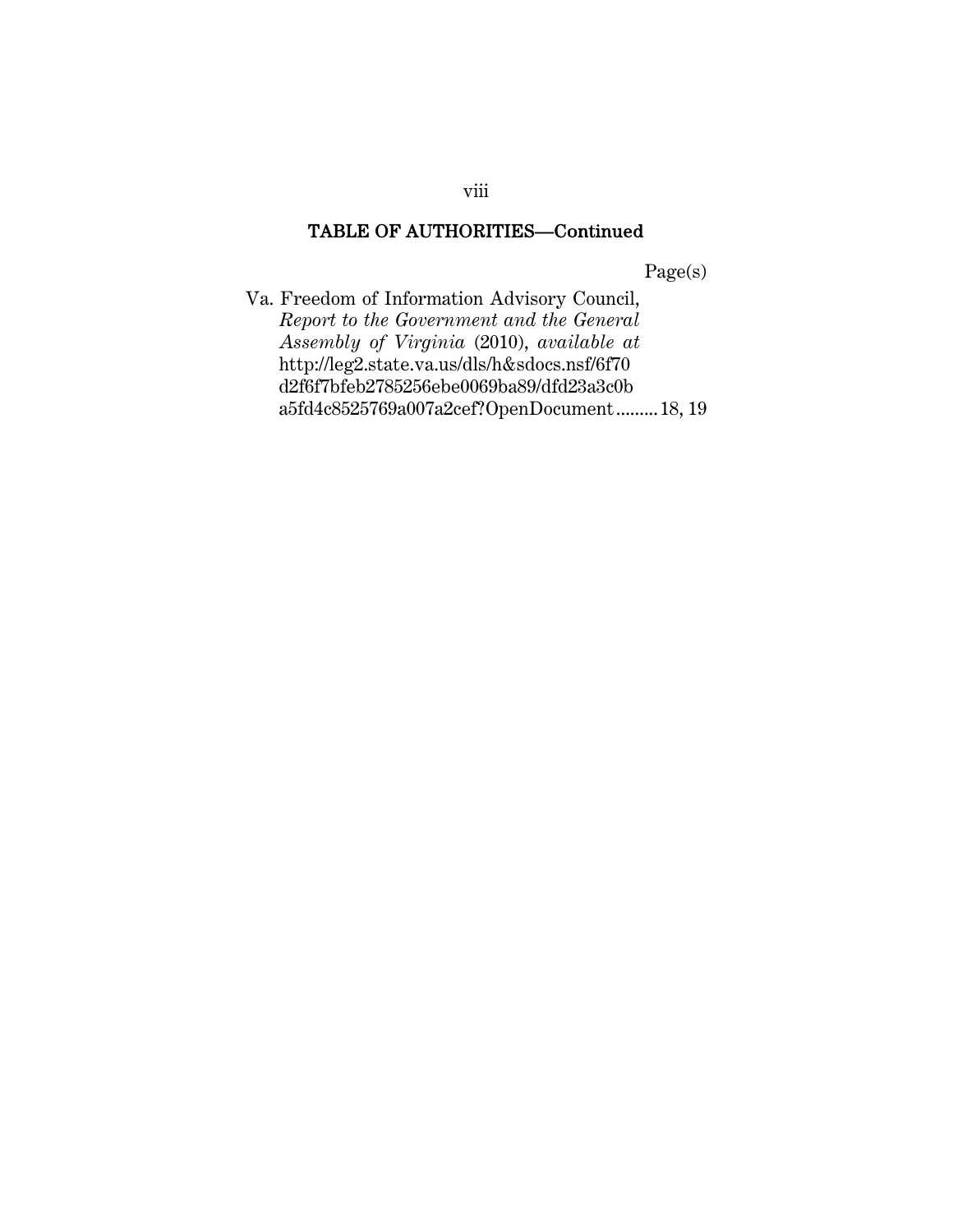Page(s)

Va. Freedom of Information Advisory Council, *Report to the Government and the General Assembly of Virginia* (2010), *available at* http://leg2.state.va.us/dls/h&sdocs.nsf/6f70 d2f6f7bfeb2785256ebe0069ba89/dfd23a3c0b a5fd4c8525769a007a2cef?OpenDocument ......... 18, 19

viii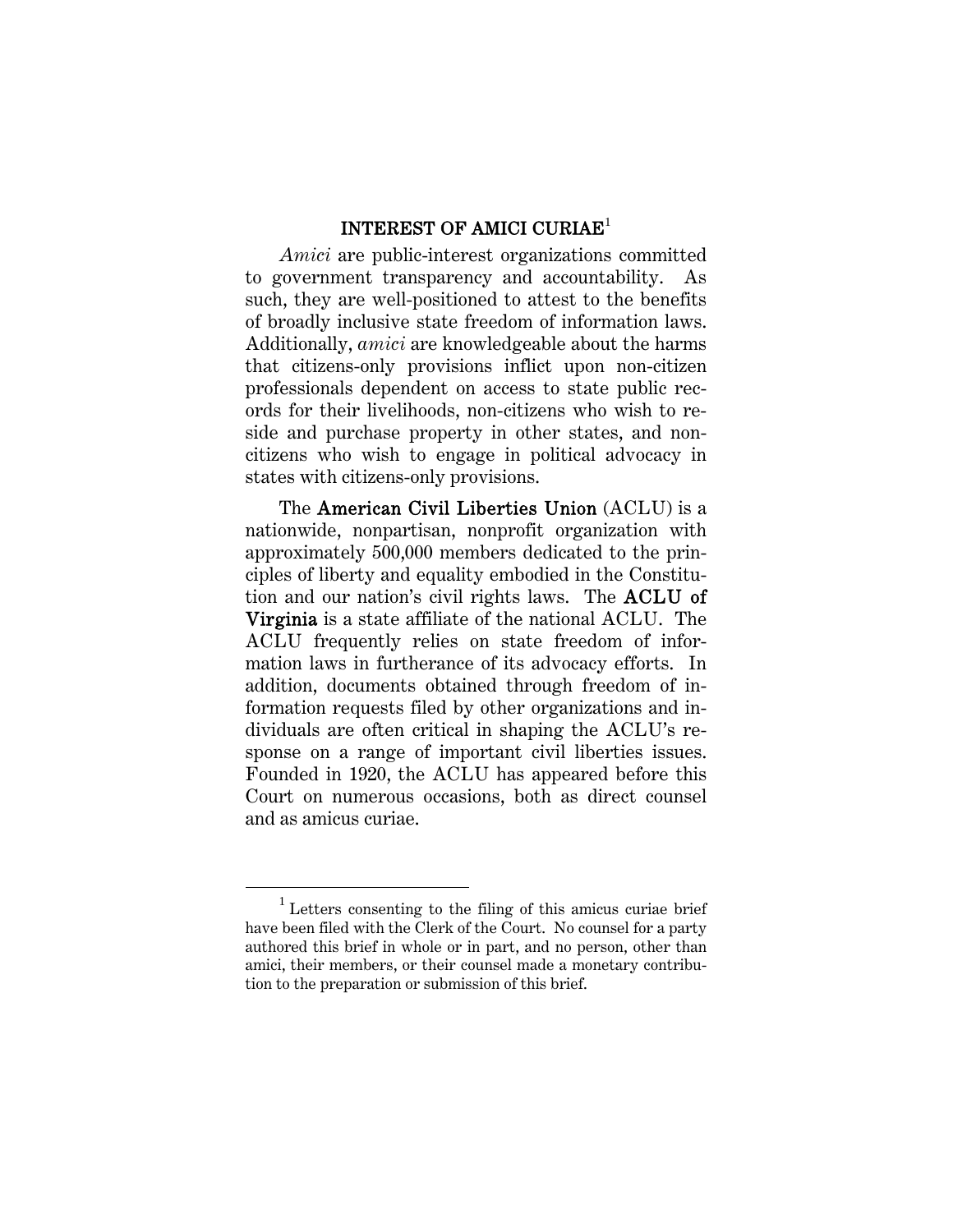#### INTEREST OF AMICI CURIAE<sup>1</sup>

*Amici* are public-interest organizations committed to government transparency and accountability. As such, they are well-positioned to attest to the benefits of broadly inclusive state freedom of information laws. Additionally, *amici* are knowledgeable about the harms that citizens-only provisions inflict upon non-citizen professionals dependent on access to state public records for their livelihoods, non-citizens who wish to reside and purchase property in other states, and noncitizens who wish to engage in political advocacy in states with citizens-only provisions.

The American Civil Liberties Union (ACLU) is a nationwide, nonpartisan, nonprofit organization with approximately 500,000 members dedicated to the principles of liberty and equality embodied in the Constitution and our nation's civil rights laws. The ACLU of Virginia is a state affiliate of the national ACLU. The ACLU frequently relies on state freedom of information laws in furtherance of its advocacy efforts. In addition, documents obtained through freedom of information requests filed by other organizations and individuals are often critical in shaping the ACLU's response on a range of important civil liberties issues. Founded in 1920, the ACLU has appeared before this Court on numerous occasions, both as direct counsel and as amicus curiae.

<sup>1</sup> Letters consenting to the filing of this amicus curiae brief have been filed with the Clerk of the Court. No counsel for a party authored this brief in whole or in part, and no person, other than amici, their members, or their counsel made a monetary contribution to the preparation or submission of this brief.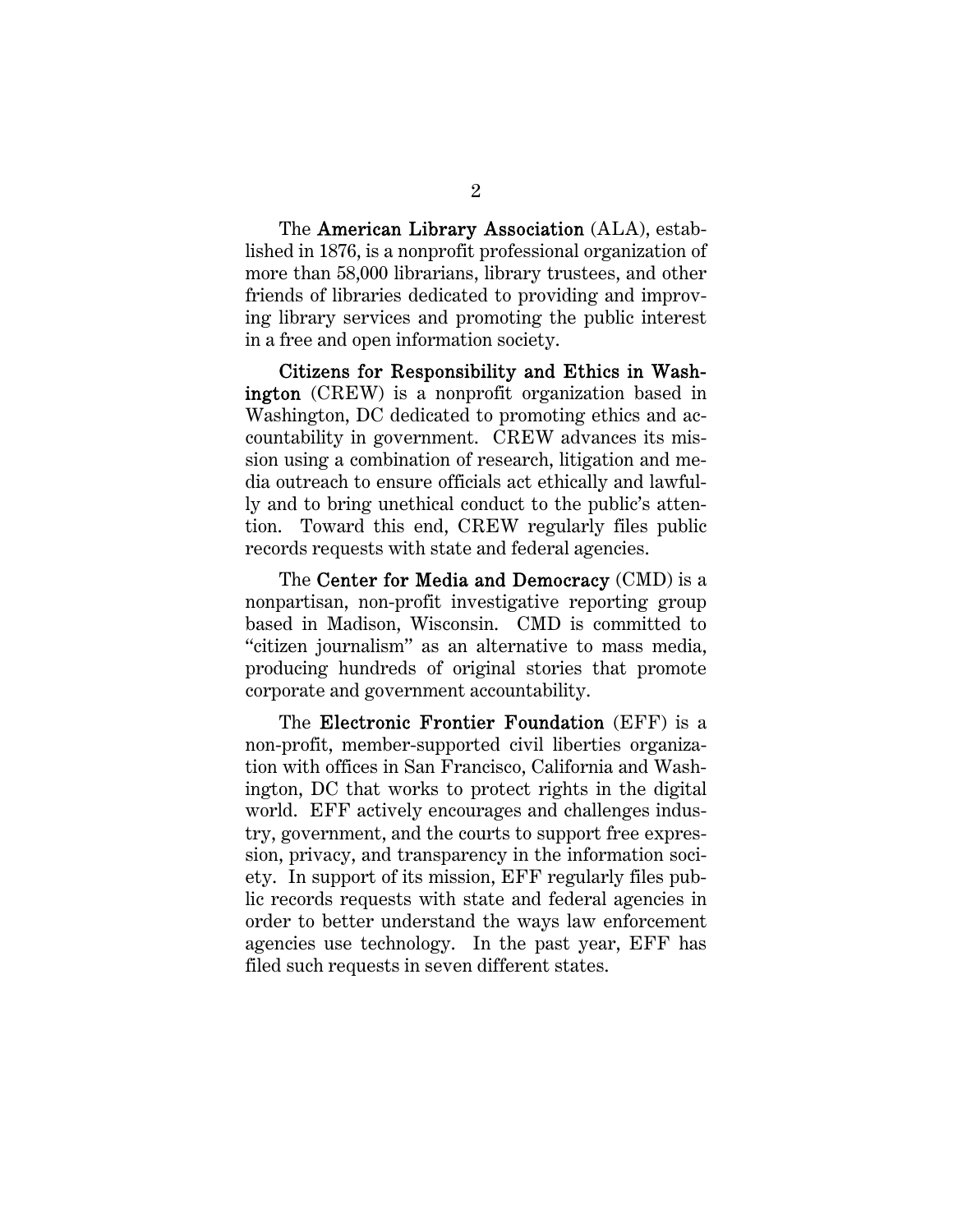The American Library Association (ALA), established in 1876, is a nonprofit professional organization of more than 58,000 librarians, library trustees, and other friends of libraries dedicated to providing and improving library services and promoting the public interest in a free and open information society.

Citizens for Responsibility and Ethics in Washington (CREW) is a nonprofit organization based in Washington, DC dedicated to promoting ethics and accountability in government. CREW advances its mission using a combination of research, litigation and media outreach to ensure officials act ethically and lawfully and to bring unethical conduct to the public's attention. Toward this end, CREW regularly files public records requests with state and federal agencies.

The Center for Media and Democracy (CMD) is a nonpartisan, non-profit investigative reporting group based in Madison, Wisconsin. CMD is committed to "citizen journalism" as an alternative to mass media, producing hundreds of original stories that promote corporate and government accountability.

The Electronic Frontier Foundation (EFF) is a non-profit, member-supported civil liberties organization with offices in San Francisco, California and Washington, DC that works to protect rights in the digital world. EFF actively encourages and challenges industry, government, and the courts to support free expression, privacy, and transparency in the information society. In support of its mission, EFF regularly files public records requests with state and federal agencies in order to better understand the ways law enforcement agencies use technology. In the past year, EFF has filed such requests in seven different states.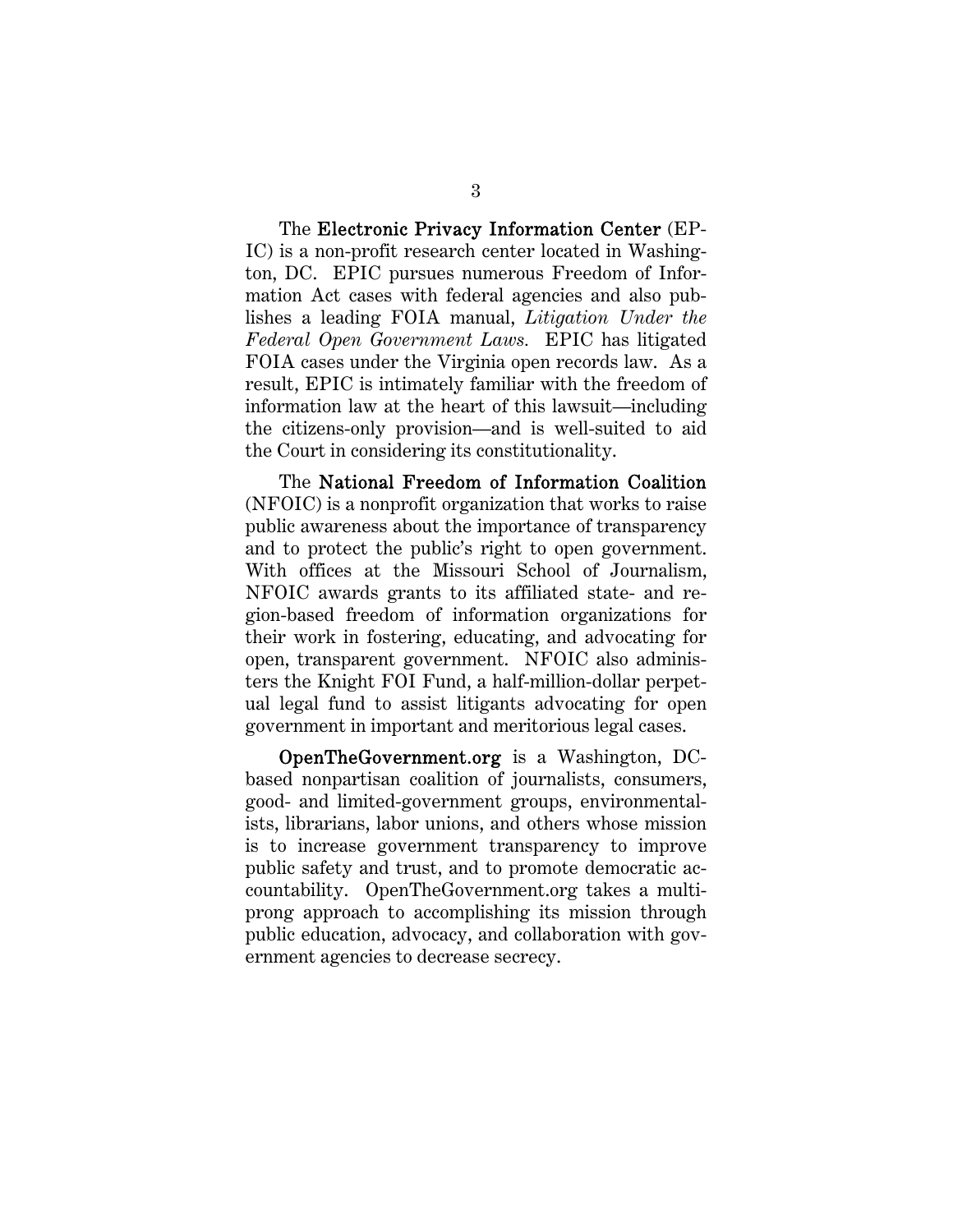The Electronic Privacy Information Center (EP-IC) is a non-profit research center located in Washington, DC. EPIC pursues numerous Freedom of Information Act cases with federal agencies and also publishes a leading FOIA manual, *Litigation Under the Federal Open Government Laws.* EPIC has litigated FOIA cases under the Virginia open records law. As a result, EPIC is intimately familiar with the freedom of information law at the heart of this lawsuit—including the citizens-only provision—and is well-suited to aid the Court in considering its constitutionality.

The National Freedom of Information Coalition (NFOIC) is a nonprofit organization that works to raise public awareness about the importance of transparency and to protect the public's right to open government. With offices at the Missouri School of Journalism, NFOIC awards grants to its affiliated state- and region-based freedom of information organizations for their work in fostering, educating, and advocating for open, transparent government. NFOIC also administers the Knight FOI Fund, a half-million-dollar perpetual legal fund to assist litigants advocating for open government in important and meritorious legal cases.

OpenTheGovernment.org is a Washington, DCbased nonpartisan coalition of journalists, consumers, good- and limited-government groups, environmentalists, librarians, labor unions, and others whose mission is to increase government transparency to improve public safety and trust, and to promote democratic accountability. OpenTheGovernment.org takes a multiprong approach to accomplishing its mission through public education, advocacy, and collaboration with government agencies to decrease secrecy.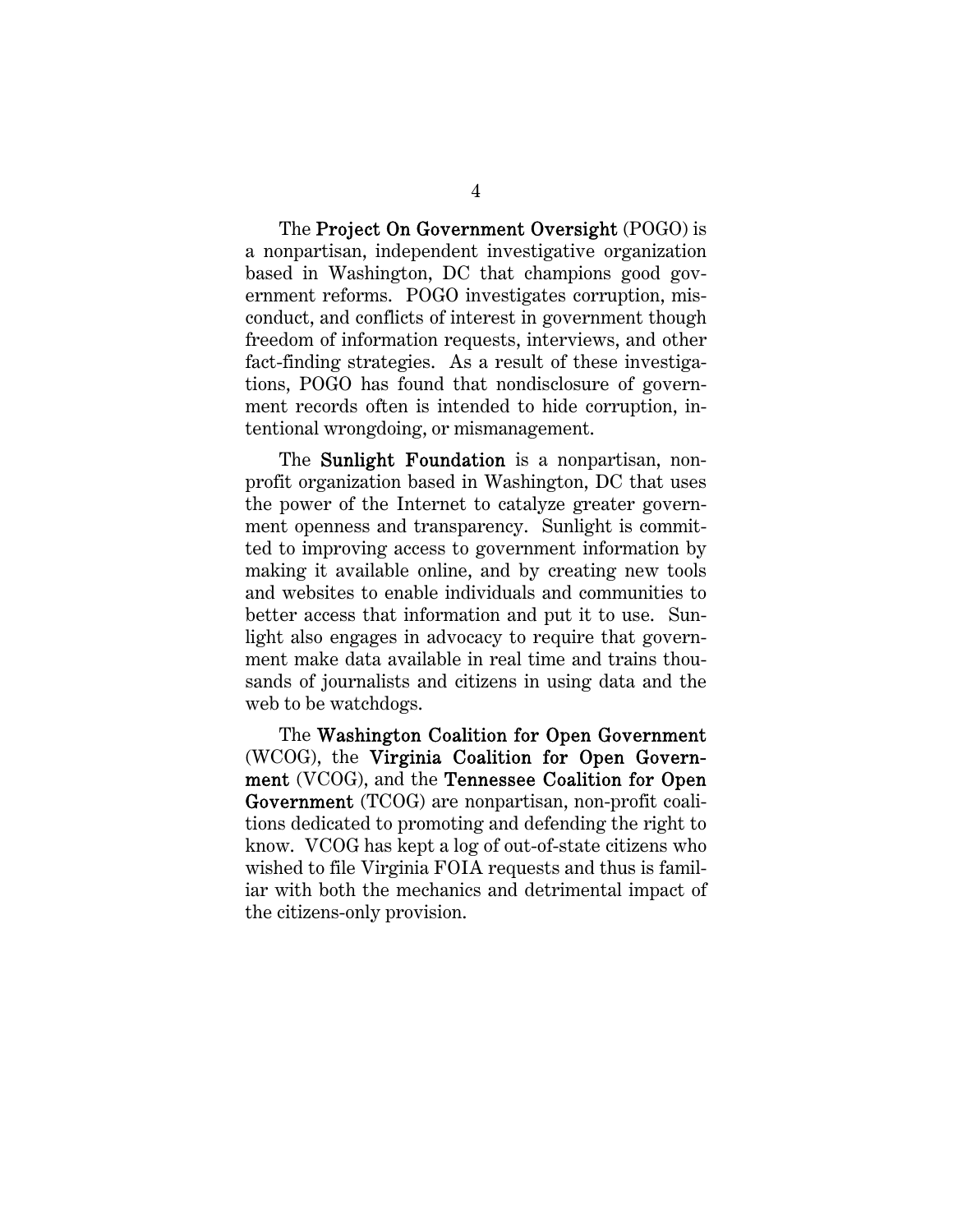The Project On Government Oversight (POGO) is a nonpartisan, independent investigative organization based in Washington, DC that champions good government reforms. POGO investigates corruption, misconduct, and conflicts of interest in government though freedom of information requests, interviews, and other fact-finding strategies. As a result of these investigations, POGO has found that nondisclosure of government records often is intended to hide corruption, intentional wrongdoing, or mismanagement.

The **Sunlight Foundation** is a nonpartisan, nonprofit organization based in Washington, DC that uses the power of the Internet to catalyze greater government openness and transparency. Sunlight is committed to improving access to government information by making it available online, and by creating new tools and websites to enable individuals and communities to better access that information and put it to use. Sunlight also engages in advocacy to require that government make data available in real time and trains thousands of journalists and citizens in using data and the web to be watchdogs.

The Washington Coalition for Open Government (WCOG), the Virginia Coalition for Open Government (VCOG), and the Tennessee Coalition for Open Government (TCOG) are nonpartisan, non-profit coalitions dedicated to promoting and defending the right to know. VCOG has kept a log of out-of-state citizens who wished to file Virginia FOIA requests and thus is familiar with both the mechanics and detrimental impact of the citizens-only provision.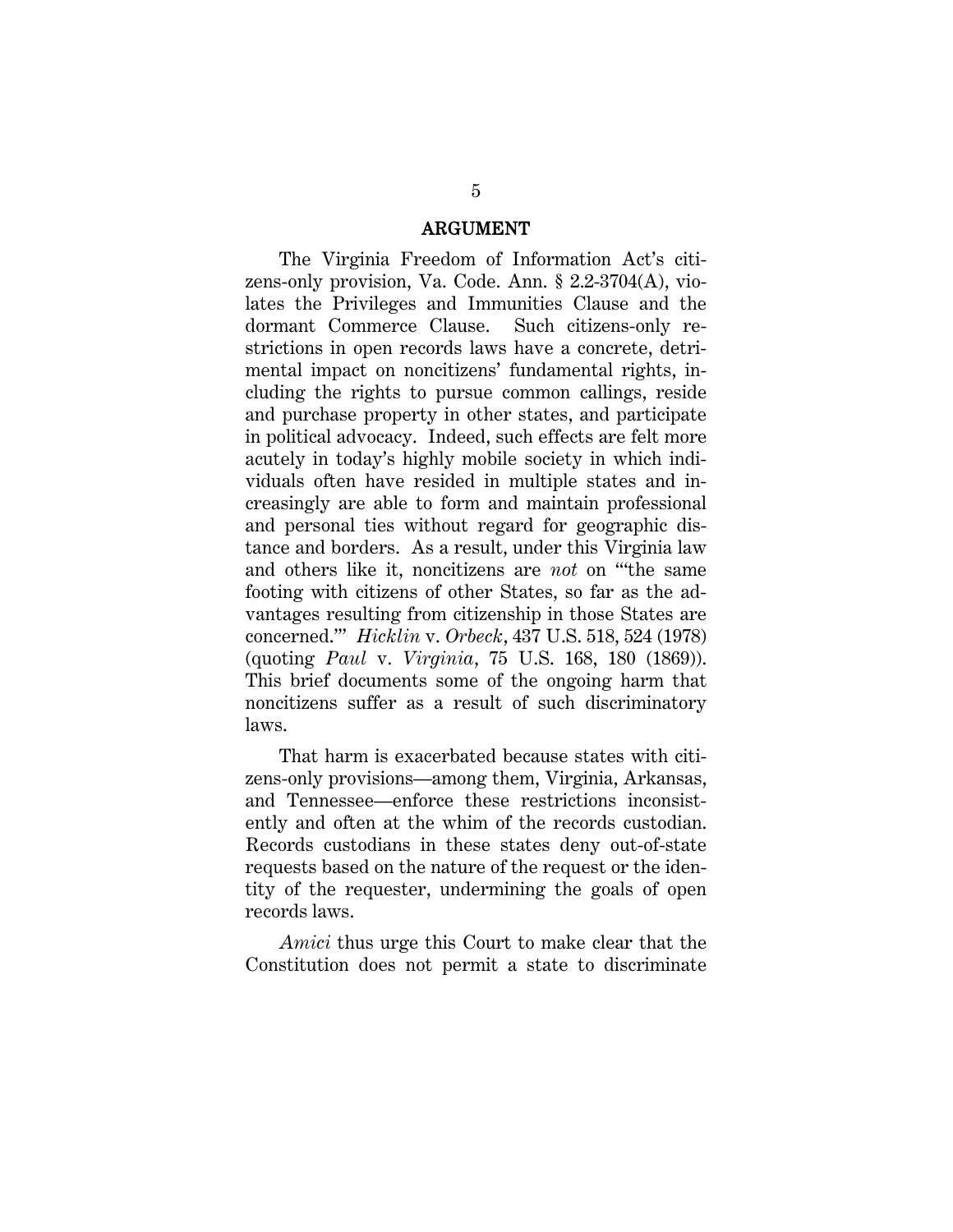#### ARGUMENT

The Virginia Freedom of Information Act's citizens-only provision, Va. Code. Ann. § 2.2-3704(A), violates the Privileges and Immunities Clause and the dormant Commerce Clause. Such citizens-only restrictions in open records laws have a concrete, detrimental impact on noncitizens' fundamental rights, including the rights to pursue common callings, reside and purchase property in other states, and participate in political advocacy. Indeed, such effects are felt more acutely in today's highly mobile society in which individuals often have resided in multiple states and increasingly are able to form and maintain professional and personal ties without regard for geographic distance and borders. As a result, under this Virginia law and others like it, noncitizens are *not* on "'the same footing with citizens of other States, so far as the advantages resulting from citizenship in those States are concerned.'" *Hicklin* v. *Orbeck*, 437 U.S. 518, 524 (1978) (quoting *Paul* v. *Virginia*, 75 U.S. 168, 180 (1869)). This brief documents some of the ongoing harm that noncitizens suffer as a result of such discriminatory laws.

That harm is exacerbated because states with citizens-only provisions—among them, Virginia, Arkansas, and Tennessee—enforce these restrictions inconsistently and often at the whim of the records custodian. Records custodians in these states deny out-of-state requests based on the nature of the request or the identity of the requester, undermining the goals of open records laws.

*Amici* thus urge this Court to make clear that the Constitution does not permit a state to discriminate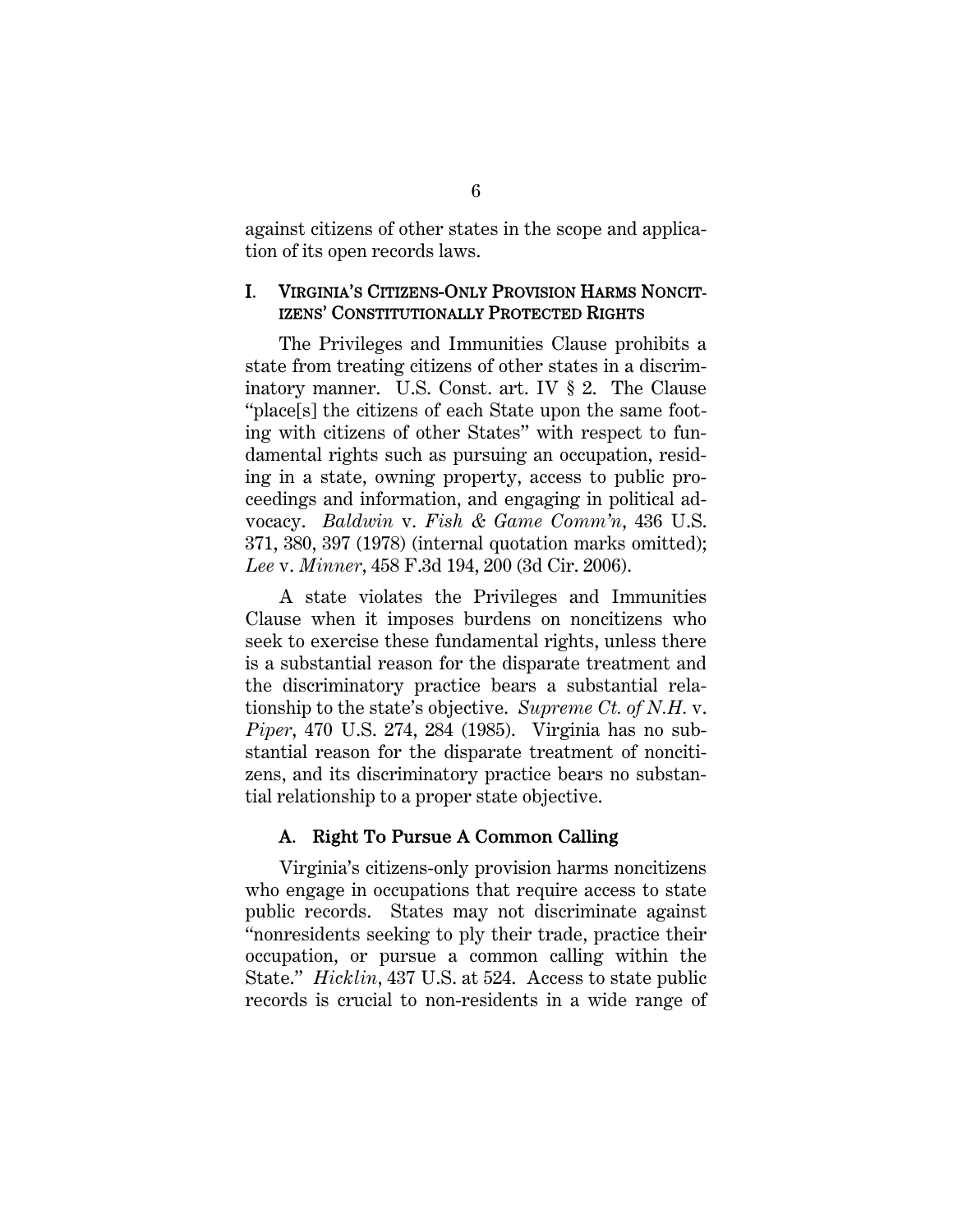against citizens of other states in the scope and application of its open records laws.

#### I. VIRGINIA'S CITIZENS-ONLY PROVISION HARMS NONCIT-IZENS' CONSTITUTIONALLY PROTECTED RIGHTS

The Privileges and Immunities Clause prohibits a state from treating citizens of other states in a discriminatory manner. U.S. Const. art. IV § 2. The Clause "place[s] the citizens of each State upon the same footing with citizens of other States" with respect to fundamental rights such as pursuing an occupation, residing in a state, owning property, access to public proceedings and information, and engaging in political advocacy. *Baldwin* v. *Fish & Game Comm'n*, 436 U.S. 371, 380, 397 (1978) (internal quotation marks omitted); *Lee* v. *Minner*, 458 F.3d 194, 200 (3d Cir. 2006).

A state violates the Privileges and Immunities Clause when it imposes burdens on noncitizens who seek to exercise these fundamental rights, unless there is a substantial reason for the disparate treatment and the discriminatory practice bears a substantial relationship to the state's objective. *Supreme Ct. of N.H.* v. *Piper*, 470 U.S. 274, 284 (1985). Virginia has no substantial reason for the disparate treatment of noncitizens, and its discriminatory practice bears no substantial relationship to a proper state objective.

#### A. Right To Pursue A Common Calling

Virginia's citizens-only provision harms noncitizens who engage in occupations that require access to state public records. States may not discriminate against "nonresidents seeking to ply their trade, practice their occupation, or pursue a common calling within the State." *Hicklin*, 437 U.S. at 524. Access to state public records is crucial to non-residents in a wide range of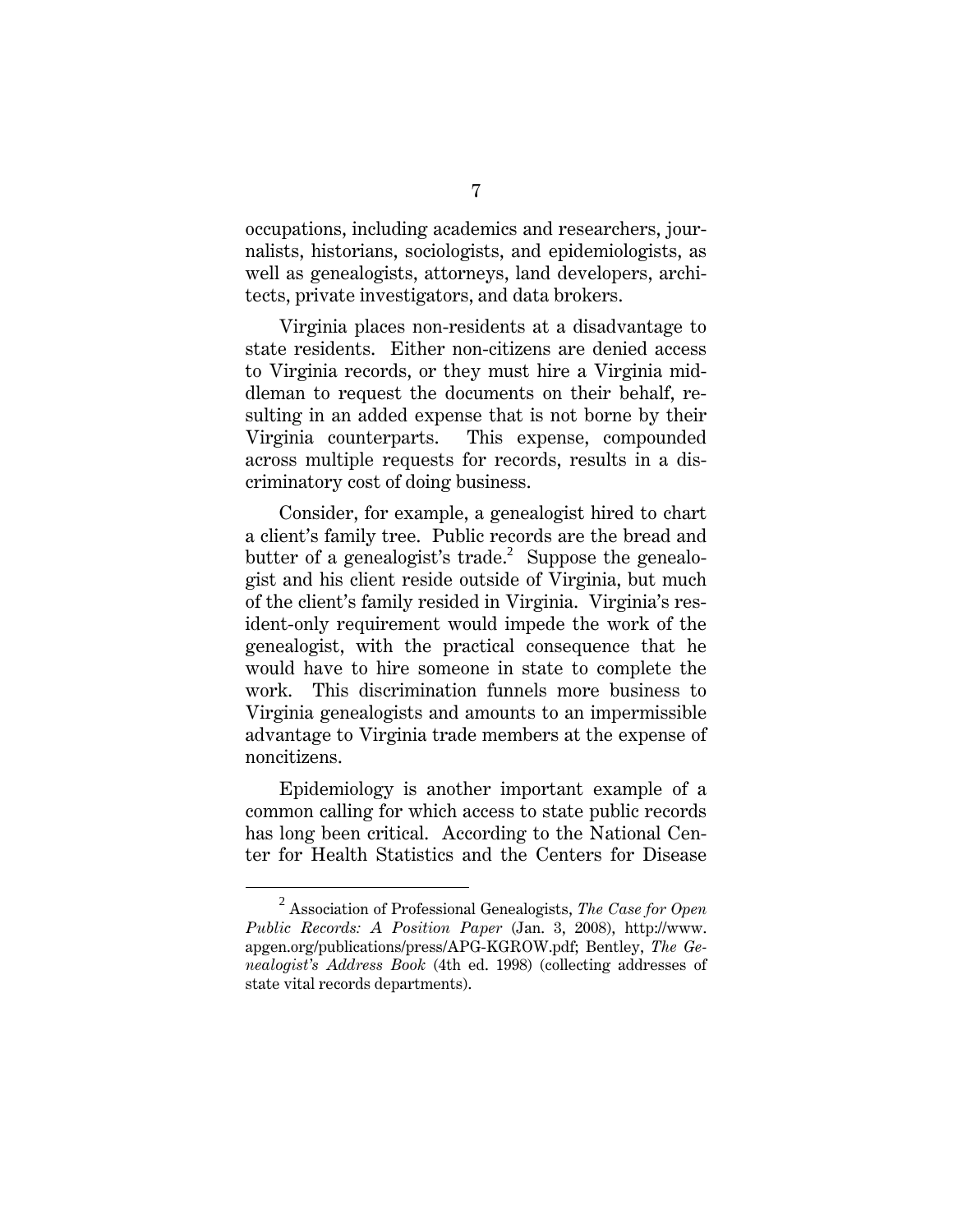occupations, including academics and researchers, journalists, historians, sociologists, and epidemiologists, as well as genealogists, attorneys, land developers, architects, private investigators, and data brokers.

Virginia places non-residents at a disadvantage to state residents. Either non-citizens are denied access to Virginia records, or they must hire a Virginia middleman to request the documents on their behalf, resulting in an added expense that is not borne by their Virginia counterparts. This expense, compounded across multiple requests for records, results in a discriminatory cost of doing business.

Consider, for example, a genealogist hired to chart a client's family tree. Public records are the bread and butter of a genealogist's trade.<sup>2</sup> Suppose the genealogist and his client reside outside of Virginia, but much of the client's family resided in Virginia. Virginia's resident-only requirement would impede the work of the genealogist, with the practical consequence that he would have to hire someone in state to complete the work. This discrimination funnels more business to Virginia genealogists and amounts to an impermissible advantage to Virginia trade members at the expense of noncitizens.

Epidemiology is another important example of a common calling for which access to state public records has long been critical. According to the National Center for Health Statistics and the Centers for Disease

<sup>2</sup> Association of Professional Genealogists, *The Case for Open Public Records: A Position Paper* (Jan. 3, 2008), http://www. apgen.org/publications/press/APG-KGROW.pdf; Bentley, *The Genealogist's Address Book* (4th ed. 1998) (collecting addresses of state vital records departments).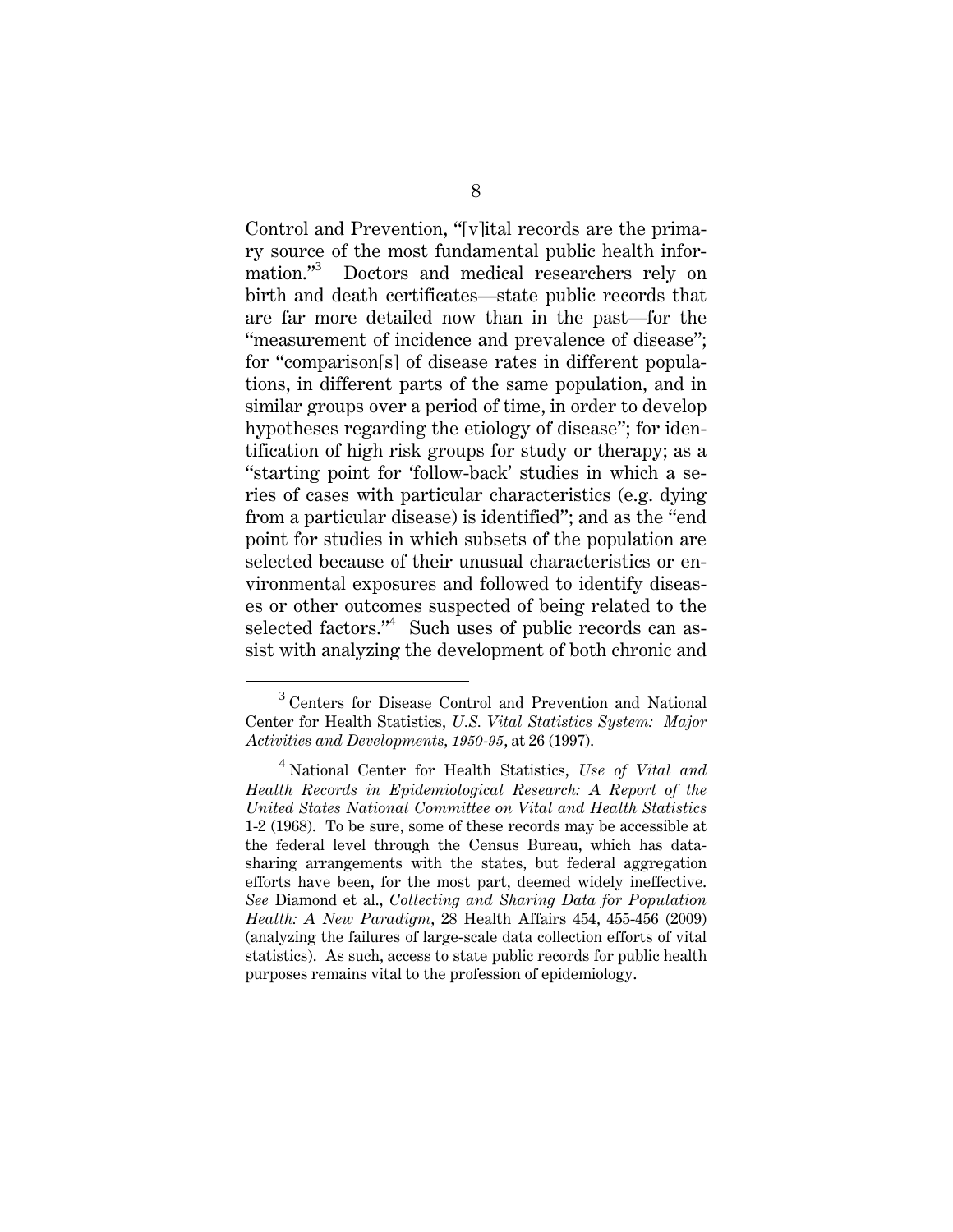Control and Prevention, "[v]ital records are the primary source of the most fundamental public health information."<sup>3</sup> Doctors and medical researchers rely on birth and death certificates—state public records that are far more detailed now than in the past—for the "measurement of incidence and prevalence of disease"; for "comparison[s] of disease rates in different populations, in different parts of the same population, and in similar groups over a period of time, in order to develop hypotheses regarding the etiology of disease"; for identification of high risk groups for study or therapy; as a "starting point for 'follow-back' studies in which a series of cases with particular characteristics (e.g. dying from a particular disease) is identified"; and as the "end point for studies in which subsets of the population are selected because of their unusual characteristics or environmental exposures and followed to identify diseases or other outcomes suspected of being related to the selected factors."<sup>4</sup> Such uses of public records can assist with analyzing the development of both chronic and

 $\frac{1}{3}$ <sup>3</sup> Centers for Disease Control and Prevention and National Center for Health Statistics, *U.S. Vital Statistics System: Major Activities and Developments, 1950-95*, at 26 (1997).

<sup>4</sup> National Center for Health Statistics, *Use of Vital and Health Records in Epidemiological Research: A Report of the United States National Committee on Vital and Health Statistics* 1-2 (1968). To be sure, some of these records may be accessible at the federal level through the Census Bureau, which has datasharing arrangements with the states, but federal aggregation efforts have been, for the most part, deemed widely ineffective. *See* Diamond et al., *Collecting and Sharing Data for Population Health: A New Paradigm*, 28 Health Affairs 454, 455-456 (2009) (analyzing the failures of large-scale data collection efforts of vital statistics). As such, access to state public records for public health purposes remains vital to the profession of epidemiology.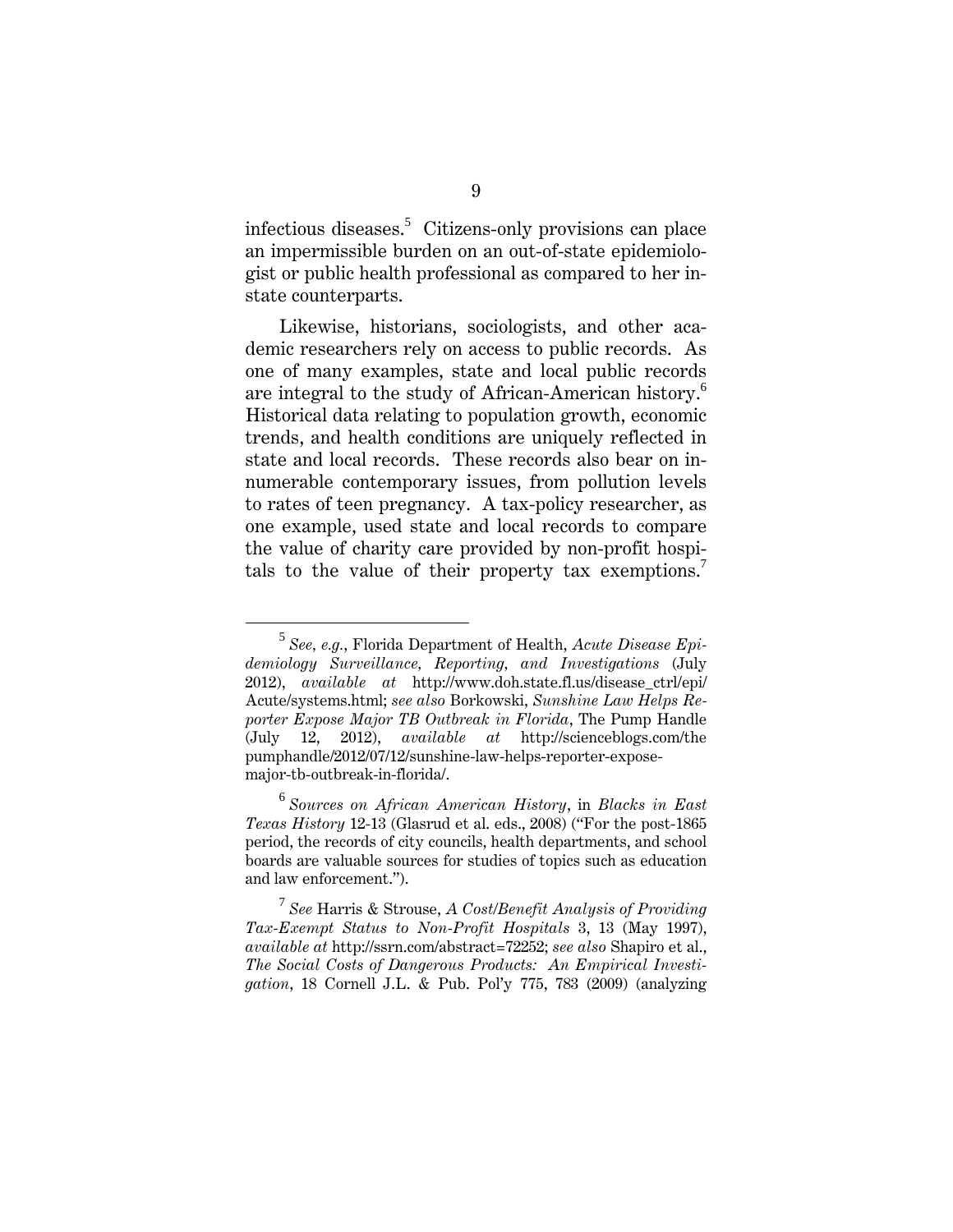infectious diseases.<sup>5</sup> Citizens-only provisions can place an impermissible burden on an out-of-state epidemiologist or public health professional as compared to her instate counterparts.

Likewise, historians, sociologists, and other academic researchers rely on access to public records. As one of many examples, state and local public records are integral to the study of African-American history.<sup>6</sup> Historical data relating to population growth, economic trends, and health conditions are uniquely reflected in state and local records. These records also bear on innumerable contemporary issues, from pollution levels to rates of teen pregnancy. A tax-policy researcher, as one example, used state and local records to compare the value of charity care provided by non-profit hospitals to the value of their property tax exemptions.<sup>7</sup>

<sup>5</sup> *See, e.g.*, Florida Department of Health, *Acute Disease Epidemiology Surveillance, Reporting, and Investigations* (July 2012), *available at* http://www.doh.state.fl.us/disease\_ctrl/epi/ Acute/systems.html; *see also* Borkowski, *Sunshine Law Helps Reporter Expose Major TB Outbreak in Florida*, The Pump Handle (July 12, 2012), *available at* http://scienceblogs.com/the pumphandle/2012/07/12/sunshine-law-helps-reporter-exposemajor-tb-outbreak-in-florida/.

<sup>6</sup> *Sources on African American History*, in *Blacks in East Texas History* 12-13 (Glasrud et al. eds., 2008) ("For the post-1865 period, the records of city councils, health departments, and school boards are valuable sources for studies of topics such as education and law enforcement.").

<sup>7</sup> *See* Harris & Strouse, *A Cost/Benefit Analysis of Providing Tax-Exempt Status to Non-Profit Hospitals* 3, 13 (May 1997), *available at* http://ssrn.com/abstract=72252; *see also* Shapiro et al., *The Social Costs of Dangerous Products: An Empirical Investigation*, 18 Cornell J.L. & Pub. Pol'y 775, 783 (2009) (analyzing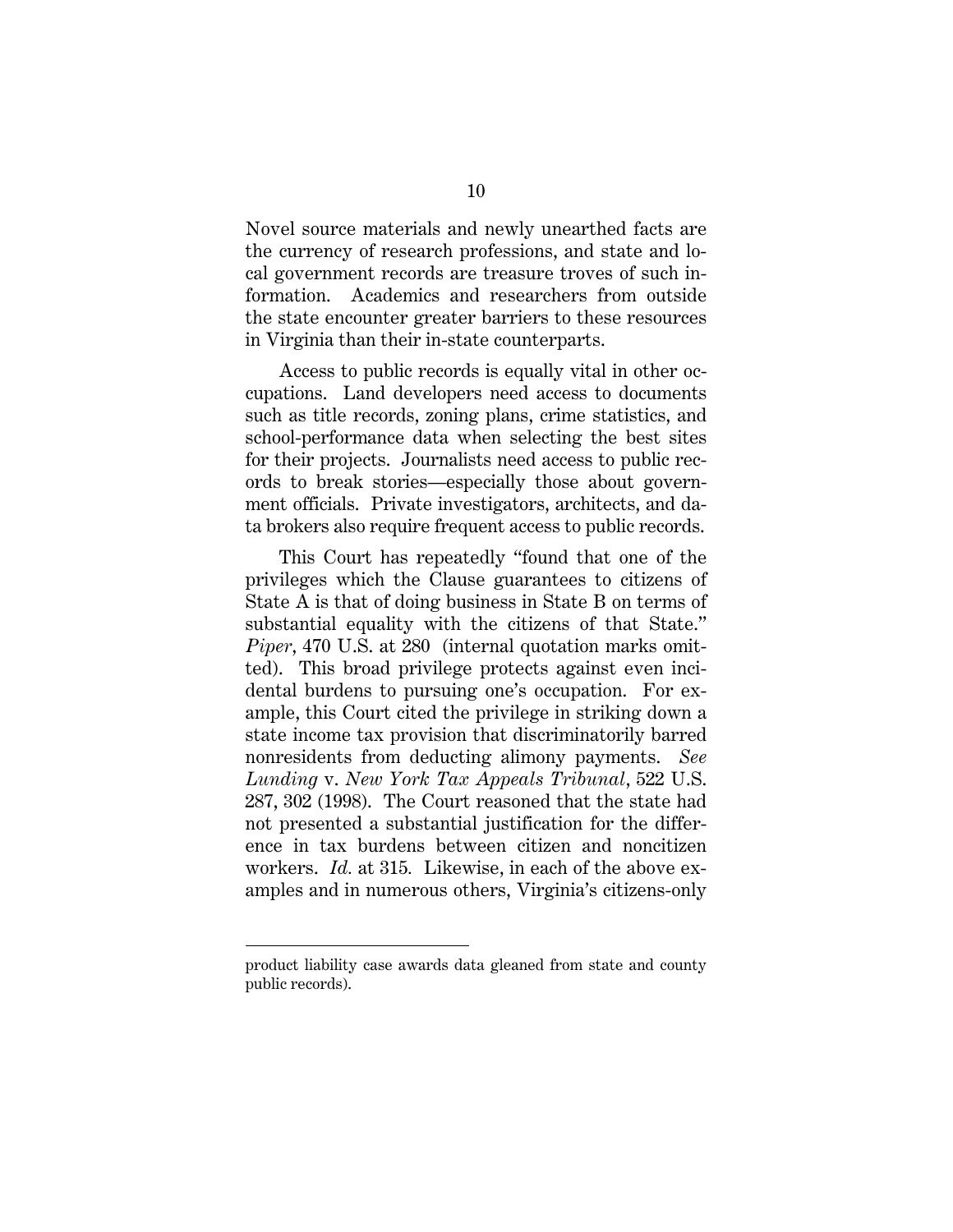Novel source materials and newly unearthed facts are the currency of research professions, and state and local government records are treasure troves of such information. Academics and researchers from outside the state encounter greater barriers to these resources in Virginia than their in-state counterparts.

Access to public records is equally vital in other occupations. Land developers need access to documents such as title records, zoning plans, crime statistics, and school-performance data when selecting the best sites for their projects. Journalists need access to public records to break stories—especially those about government officials. Private investigators, architects, and data brokers also require frequent access to public records.

This Court has repeatedly "found that one of the privileges which the Clause guarantees to citizens of State A is that of doing business in State B on terms of substantial equality with the citizens of that State." *Piper*, 470 U.S. at 280 (internal quotation marks omitted). This broad privilege protects against even incidental burdens to pursuing one's occupation. For example, this Court cited the privilege in striking down a state income tax provision that discriminatorily barred nonresidents from deducting alimony payments. *See Lunding* v. *New York Tax Appeals Tribunal*, 522 U.S. 287, 302 (1998). The Court reasoned that the state had not presented a substantial justification for the difference in tax burdens between citizen and noncitizen workers. *Id.* at 315*.* Likewise, in each of the above examples and in numerous others, Virginia's citizens-only

 $\overline{a}$ 

product liability case awards data gleaned from state and county public records).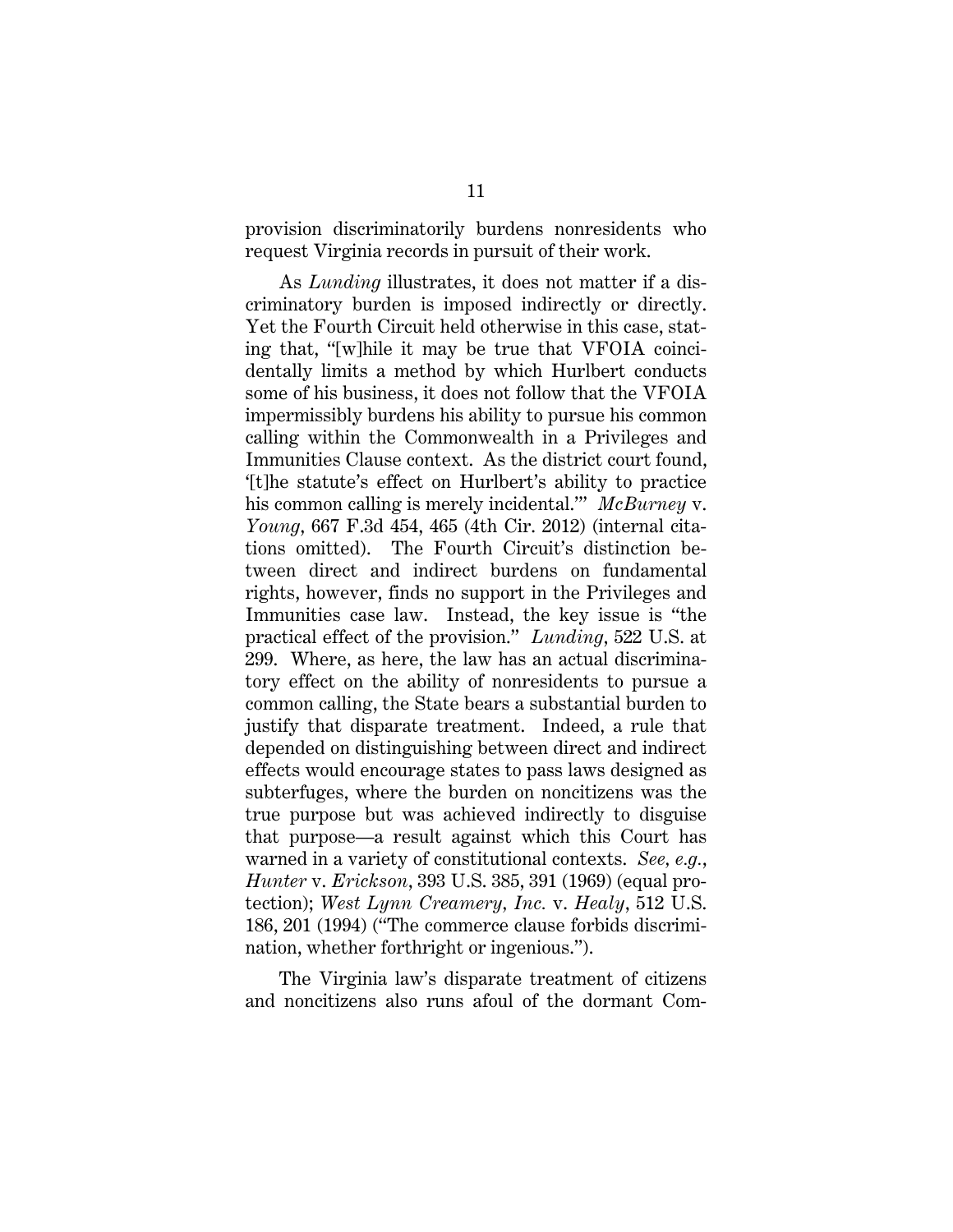provision discriminatorily burdens nonresidents who request Virginia records in pursuit of their work.

As *Lunding* illustrates, it does not matter if a discriminatory burden is imposed indirectly or directly. Yet the Fourth Circuit held otherwise in this case, stating that, "[w]hile it may be true that VFOIA coincidentally limits a method by which Hurlbert conducts some of his business, it does not follow that the VFOIA impermissibly burdens his ability to pursue his common calling within the Commonwealth in a Privileges and Immunities Clause context. As the district court found, '[t]he statute's effect on Hurlbert's ability to practice his common calling is merely incidental.'" *McBurney* v. *Young*, 667 F.3d 454, 465 (4th Cir. 2012) (internal citations omitted). The Fourth Circuit's distinction between direct and indirect burdens on fundamental rights, however, finds no support in the Privileges and Immunities case law. Instead, the key issue is "the practical effect of the provision." *Lunding*, 522 U.S. at 299. Where, as here, the law has an actual discriminatory effect on the ability of nonresidents to pursue a common calling, the State bears a substantial burden to justify that disparate treatment. Indeed, a rule that depended on distinguishing between direct and indirect effects would encourage states to pass laws designed as subterfuges, where the burden on noncitizens was the true purpose but was achieved indirectly to disguise that purpose—a result against which this Court has warned in a variety of constitutional contexts. *See, e.g.*, *Hunter* v. *Erickson*, 393 U.S. 385, 391 (1969) (equal protection); *West Lynn Creamery, Inc.* v. *Healy*, 512 U.S. 186, 201 (1994) ("The commerce clause forbids discrimination, whether forthright or ingenious.").

The Virginia law's disparate treatment of citizens and noncitizens also runs afoul of the dormant Com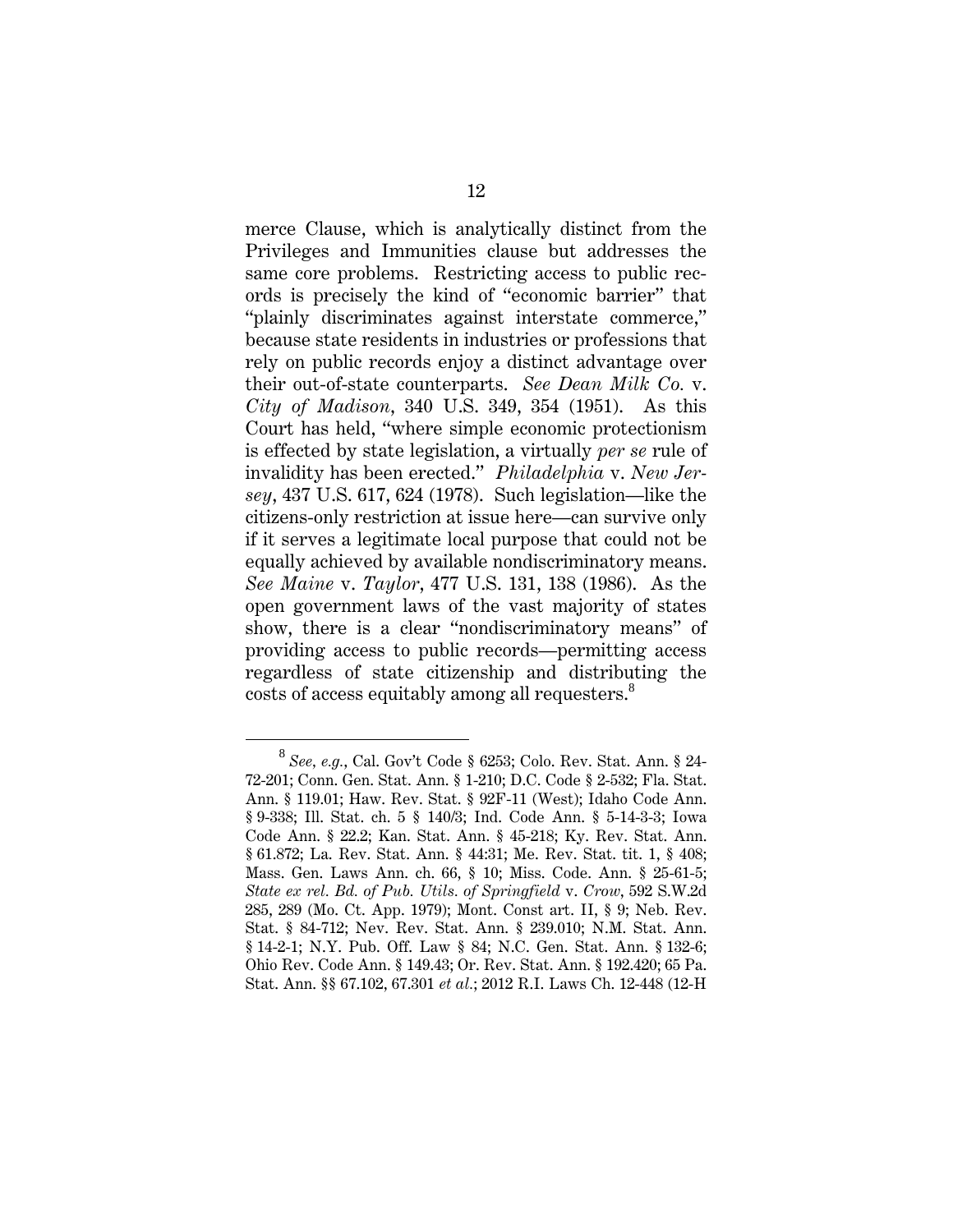merce Clause, which is analytically distinct from the Privileges and Immunities clause but addresses the same core problems. Restricting access to public records is precisely the kind of "economic barrier" that "plainly discriminates against interstate commerce," because state residents in industries or professions that rely on public records enjoy a distinct advantage over their out-of-state counterparts. *See Dean Milk Co.* v. *City of Madison*, 340 U.S. 349, 354 (1951). As this Court has held, "where simple economic protectionism is effected by state legislation, a virtually *per se* rule of invalidity has been erected." *Philadelphia* v. *New Jersey*, 437 U.S. 617, 624 (1978). Such legislation—like the citizens-only restriction at issue here—can survive only if it serves a legitimate local purpose that could not be equally achieved by available nondiscriminatory means. *See Maine* v. *Taylor*, 477 U.S. 131, 138 (1986). As the open government laws of the vast majority of states show, there is a clear "nondiscriminatory means" of providing access to public records—permitting access regardless of state citizenship and distributing the costs of access equitably among all requesters.<sup>8</sup>

<sup>8</sup> *See, e.g.*, Cal. Gov't Code § 6253; Colo. Rev. Stat. Ann. § 24- 72-201; Conn. Gen. Stat. Ann. § 1-210; D.C. Code § 2-532; Fla. Stat. Ann. § 119.01; Haw. Rev. Stat. § 92F-11 (West); Idaho Code Ann. § 9-338; Ill. Stat. ch. 5 § 140/3; Ind. Code Ann. § 5-14-3-3; Iowa Code Ann. § 22.2; Kan. Stat. Ann. § 45-218; Ky. Rev. Stat. Ann. § 61.872; La. Rev. Stat. Ann. § 44:31; Me. Rev. Stat. tit. 1, § 408; Mass. Gen. Laws Ann. ch. 66, § 10; Miss. Code. Ann. § 25-61-5; *State ex rel. Bd. of Pub. Utils. of Springfield* v. *Crow*, 592 S.W.2d 285, 289 (Mo. Ct. App. 1979); Mont. Const art. II, § 9; Neb. Rev. Stat. § 84-712; Nev. Rev. Stat. Ann. § 239.010; N.M. Stat. Ann. § 14-2-1; N.Y. Pub. Off. Law § 84; N.C. Gen. Stat. Ann. § 132-6; Ohio Rev. Code Ann. § 149.43; Or. Rev. Stat. Ann. § 192.420; 65 Pa. Stat. Ann. §§ 67.102, 67.301 *et al.*; 2012 R.I. Laws Ch. 12-448 (12-H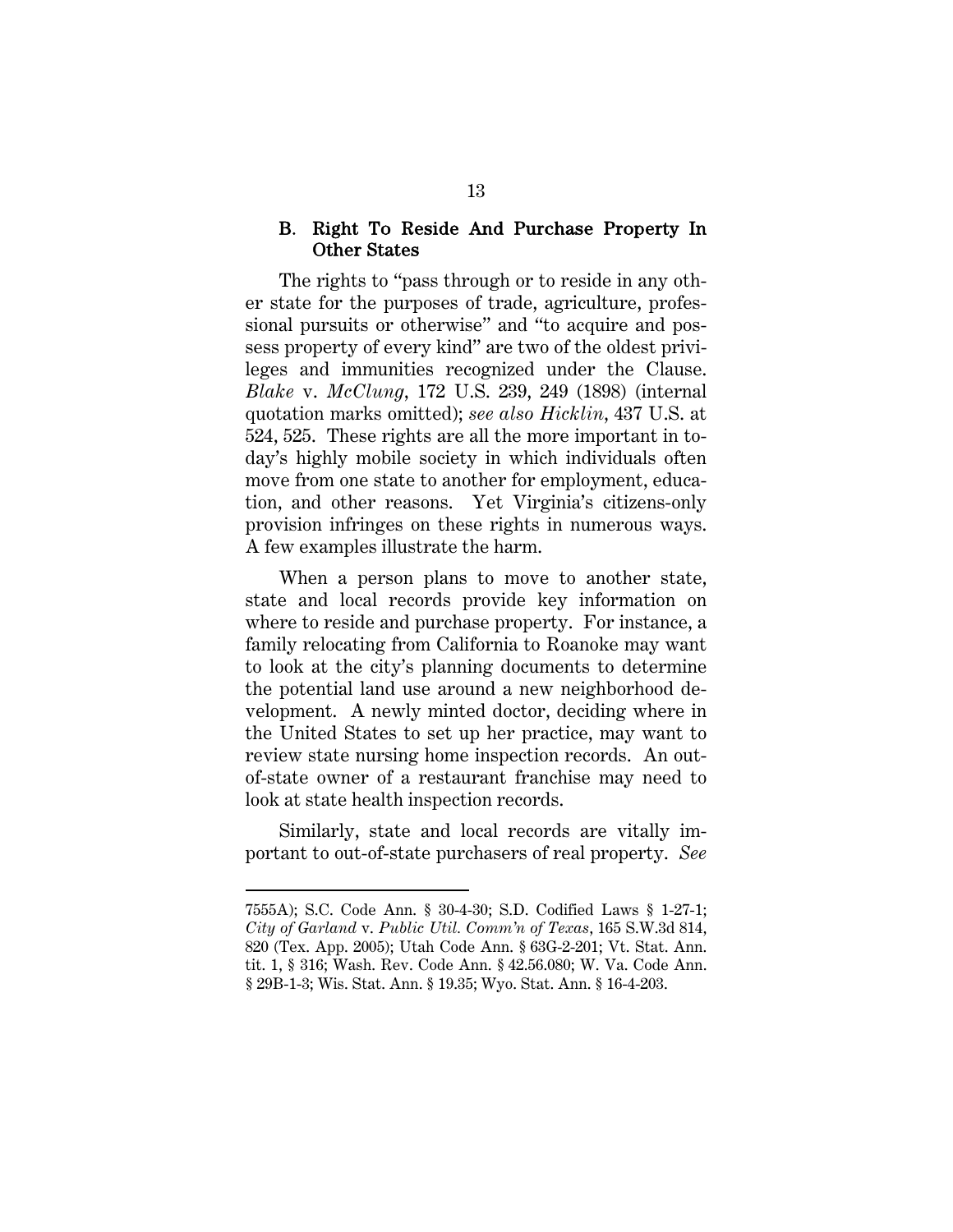#### B. Right To Reside And Purchase Property In Other States

The rights to "pass through or to reside in any other state for the purposes of trade, agriculture, professional pursuits or otherwise" and "to acquire and possess property of every kind" are two of the oldest privileges and immunities recognized under the Clause. *Blake* v. *McClung*, 172 U.S. 239, 249 (1898) (internal quotation marks omitted); *see also Hicklin*, 437 U.S. at 524, 525. These rights are all the more important in today's highly mobile society in which individuals often move from one state to another for employment, education, and other reasons. Yet Virginia's citizens-only provision infringes on these rights in numerous ways. A few examples illustrate the harm.

When a person plans to move to another state, state and local records provide key information on where to reside and purchase property. For instance, a family relocating from California to Roanoke may want to look at the city's planning documents to determine the potential land use around a new neighborhood development. A newly minted doctor, deciding where in the United States to set up her practice, may want to review state nursing home inspection records. An outof-state owner of a restaurant franchise may need to look at state health inspection records.

Similarly, state and local records are vitally important to out-of-state purchasers of real property. *See* 

 $\overline{a}$ 

<sup>7555</sup>A); S.C. Code Ann. § 30-4-30; S.D. Codified Laws § 1-27-1; *City of Garland* v. *Public Util. Comm'n of Texas*, 165 S.W.3d 814, 820 (Tex. App. 2005); Utah Code Ann. § 63G-2-201; Vt. Stat. Ann. tit. 1, § 316; Wash. Rev. Code Ann. § 42.56.080; W. Va. Code Ann. § 29B-1-3; Wis. Stat. Ann. § 19.35; Wyo. Stat. Ann. § 16-4-203.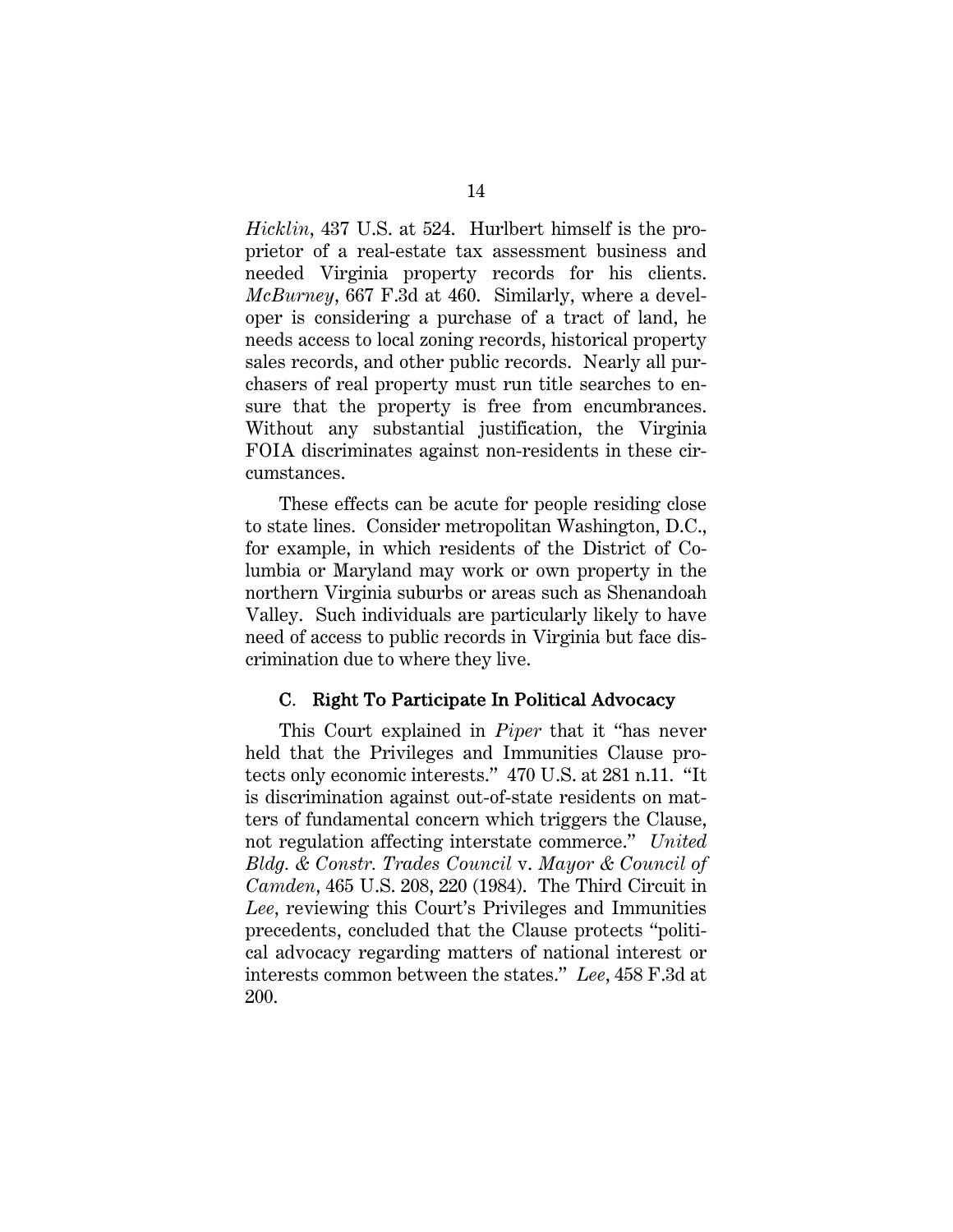*Hicklin*, 437 U.S. at 524. Hurlbert himself is the proprietor of a real-estate tax assessment business and needed Virginia property records for his clients. *McBurney*, 667 F.3d at 460. Similarly, where a developer is considering a purchase of a tract of land, he needs access to local zoning records, historical property sales records, and other public records. Nearly all purchasers of real property must run title searches to ensure that the property is free from encumbrances. Without any substantial justification, the Virginia FOIA discriminates against non-residents in these circumstances.

These effects can be acute for people residing close to state lines. Consider metropolitan Washington, D.C., for example, in which residents of the District of Columbia or Maryland may work or own property in the northern Virginia suburbs or areas such as Shenandoah Valley. Such individuals are particularly likely to have need of access to public records in Virginia but face discrimination due to where they live.

#### C. Right To Participate In Political Advocacy

This Court explained in *Piper* that it "has never held that the Privileges and Immunities Clause protects only economic interests." 470 U.S. at 281 n.11. "It is discrimination against out-of-state residents on matters of fundamental concern which triggers the Clause, not regulation affecting interstate commerce." *United Bldg. & Constr. Trades Council* v. *Mayor & Council of Camden*, 465 U.S. 208, 220 (1984). The Third Circuit in *Lee*, reviewing this Court's Privileges and Immunities precedents, concluded that the Clause protects "political advocacy regarding matters of national interest or interests common between the states." *Lee*, 458 F.3d at 200.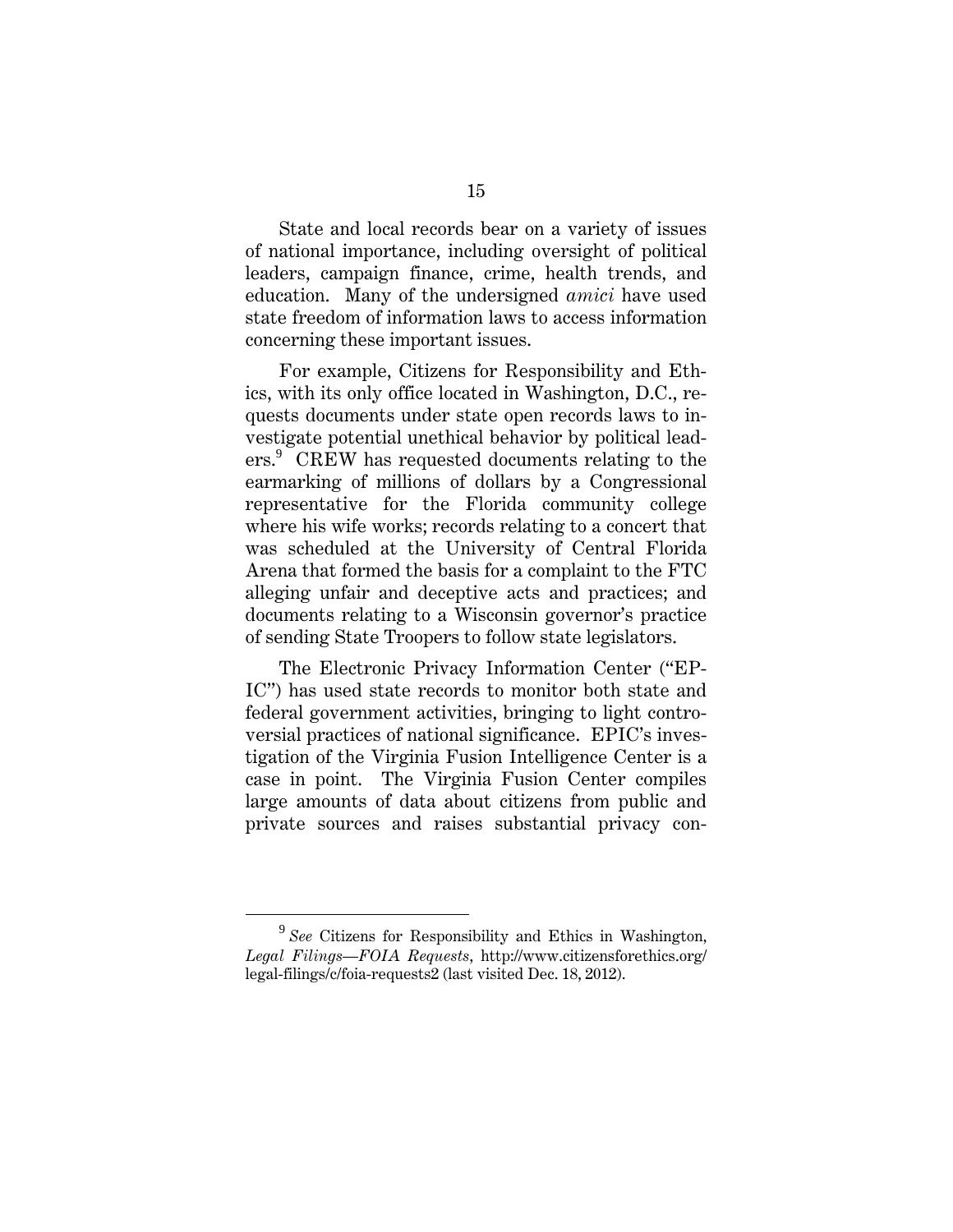State and local records bear on a variety of issues of national importance, including oversight of political leaders, campaign finance, crime, health trends, and education. Many of the undersigned *amici* have used state freedom of information laws to access information concerning these important issues.

For example, Citizens for Responsibility and Ethics, with its only office located in Washington, D.C., requests documents under state open records laws to investigate potential unethical behavior by political leaders.<sup>9</sup> CREW has requested documents relating to the earmarking of millions of dollars by a Congressional representative for the Florida community college where his wife works; records relating to a concert that was scheduled at the University of Central Florida Arena that formed the basis for a complaint to the FTC alleging unfair and deceptive acts and practices; and documents relating to a Wisconsin governor's practice of sending State Troopers to follow state legislators.

The Electronic Privacy Information Center ("EP-IC") has used state records to monitor both state and federal government activities, bringing to light controversial practices of national significance. EPIC's investigation of the Virginia Fusion Intelligence Center is a case in point. The Virginia Fusion Center compiles large amounts of data about citizens from public and private sources and raises substantial privacy con-

<sup>9</sup> *See* Citizens for Responsibility and Ethics in Washington, *Legal Filings—FOIA Requests*, http://www.citizensforethics.org/ legal-filings/c/foia-requests2 (last visited Dec. 18, 2012).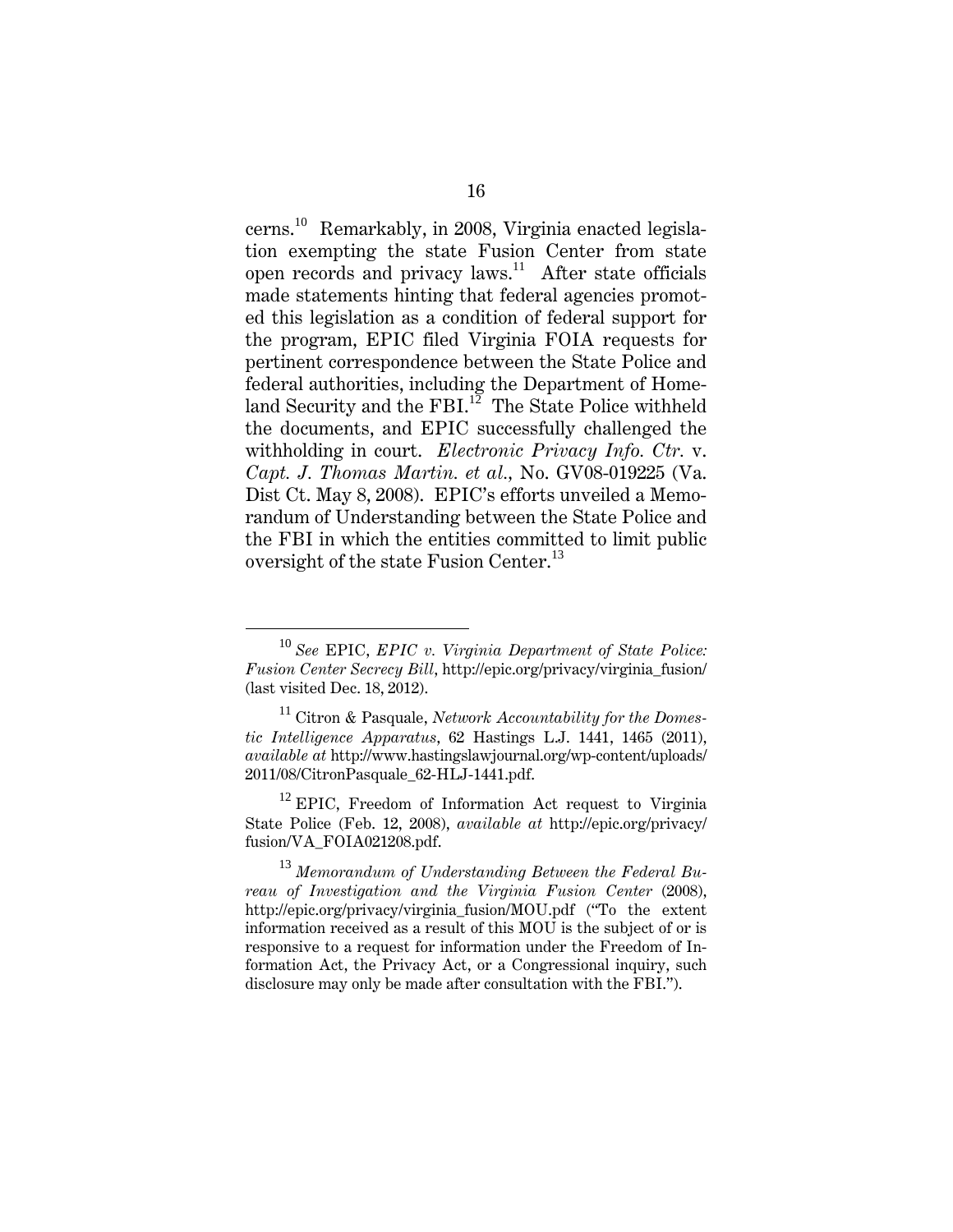cerns.<sup>10</sup> Remarkably, in 2008, Virginia enacted legislation exempting the state Fusion Center from state open records and privacy laws.<sup>11</sup> After state officials made statements hinting that federal agencies promoted this legislation as a condition of federal support for the program, EPIC filed Virginia FOIA requests for pertinent correspondence between the State Police and federal authorities, including the Department of Homeland Security and the FBI.<sup>12</sup> The State Police withheld the documents, and EPIC successfully challenged the withholding in court. *Electronic Privacy Info. Ctr.* v. *Capt. J. Thomas Martin. et al.,* No. GV08-019225 (Va. Dist Ct. May 8, 2008). EPIC's efforts unveiled a Memorandum of Understanding between the State Police and the FBI in which the entities committed to limit public oversight of the state Fusion Center.<sup>13</sup>

<sup>10</sup> *See* EPIC, *EPIC v. Virginia Department of State Police: Fusion Center Secrecy Bill*, http://epic.org/privacy/virginia\_fusion/ (last visited Dec. 18, 2012).

<sup>11</sup> Citron & Pasquale, *Network Accountability for the Domestic Intelligence Apparatus*, 62 Hastings L.J. 1441, 1465 (2011), *available at* http://www.hastingslawjournal.org/wp-content/uploads/ 2011/08/CitronPasquale\_62-HLJ-1441.pdf.

 $^{12}$  EPIC, Freedom of Information Act request to Virginia State Police (Feb. 12, 2008), *available at* http://epic.org/privacy/ fusion/VA\_FOIA021208.pdf.

<sup>13</sup> *Memorandum of Understanding Between the Federal Bureau of Investigation and the Virginia Fusion Center* (2008), http://epic.org/privacy/virginia\_fusion/MOU.pdf ("To the extent information received as a result of this MOU is the subject of or is responsive to a request for information under the Freedom of Information Act, the Privacy Act, or a Congressional inquiry, such disclosure may only be made after consultation with the FBI.").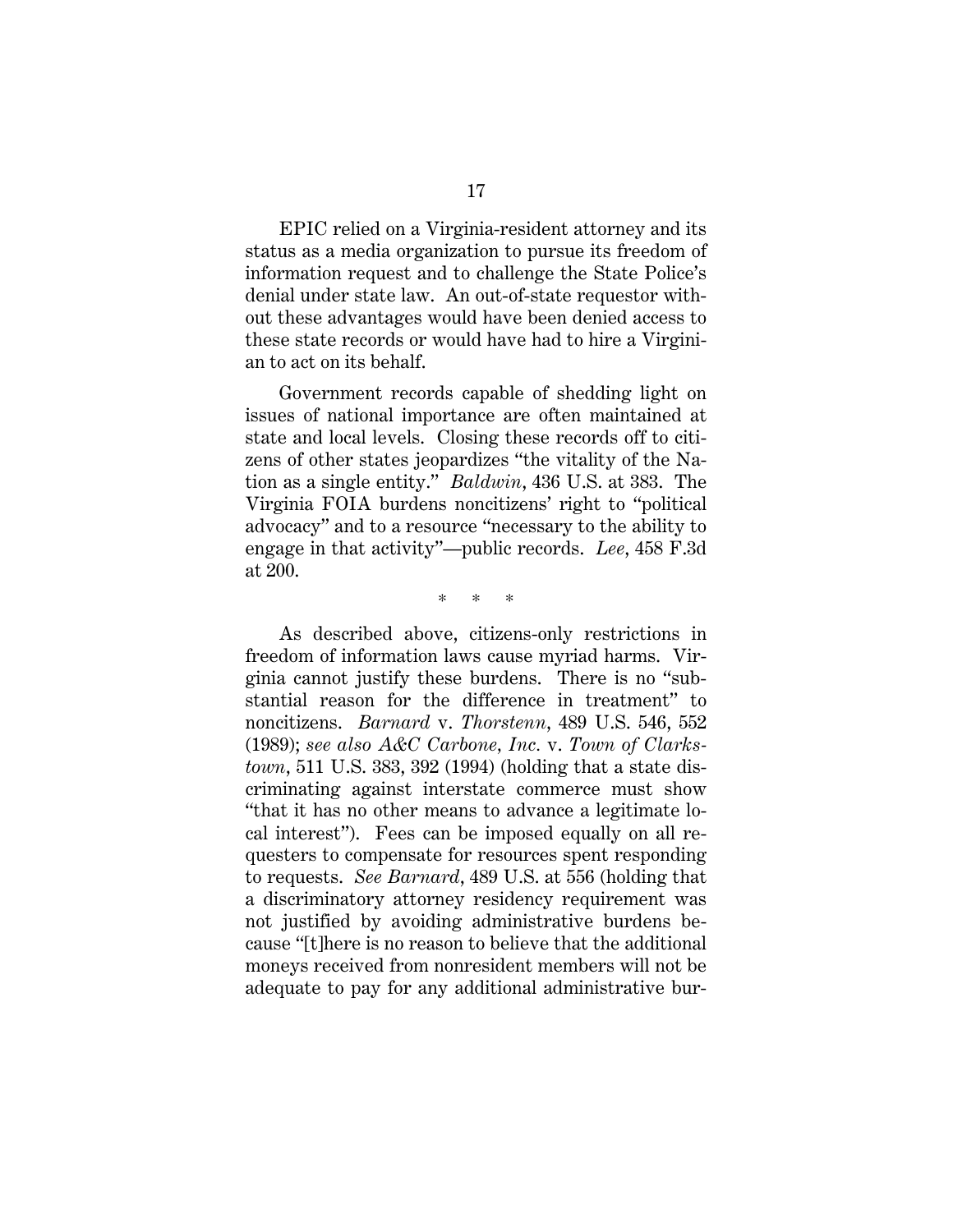EPIC relied on a Virginia-resident attorney and its status as a media organization to pursue its freedom of information request and to challenge the State Police's denial under state law. An out-of-state requestor without these advantages would have been denied access to these state records or would have had to hire a Virginian to act on its behalf.

Government records capable of shedding light on issues of national importance are often maintained at state and local levels. Closing these records off to citizens of other states jeopardizes "the vitality of the Nation as a single entity." *Baldwin*, 436 U.S. at 383. The Virginia FOIA burdens noncitizens' right to "political advocacy" and to a resource "necessary to the ability to engage in that activity"—public records. *Lee*, 458 F.3d at 200.

\* \* \*

As described above, citizens-only restrictions in freedom of information laws cause myriad harms. Virginia cannot justify these burdens. There is no "substantial reason for the difference in treatment" to noncitizens. *Barnard* v. *Thorstenn*, 489 U.S. 546, 552 (1989); *see also A&C Carbone, Inc.* v. *Town of Clarkstown*, 511 U.S. 383, 392 (1994) (holding that a state discriminating against interstate commerce must show "that it has no other means to advance a legitimate local interest"). Fees can be imposed equally on all requesters to compensate for resources spent responding to requests. *See Barnard*, 489 U.S. at 556 (holding that a discriminatory attorney residency requirement was not justified by avoiding administrative burdens because "[t]here is no reason to believe that the additional moneys received from nonresident members will not be adequate to pay for any additional administrative bur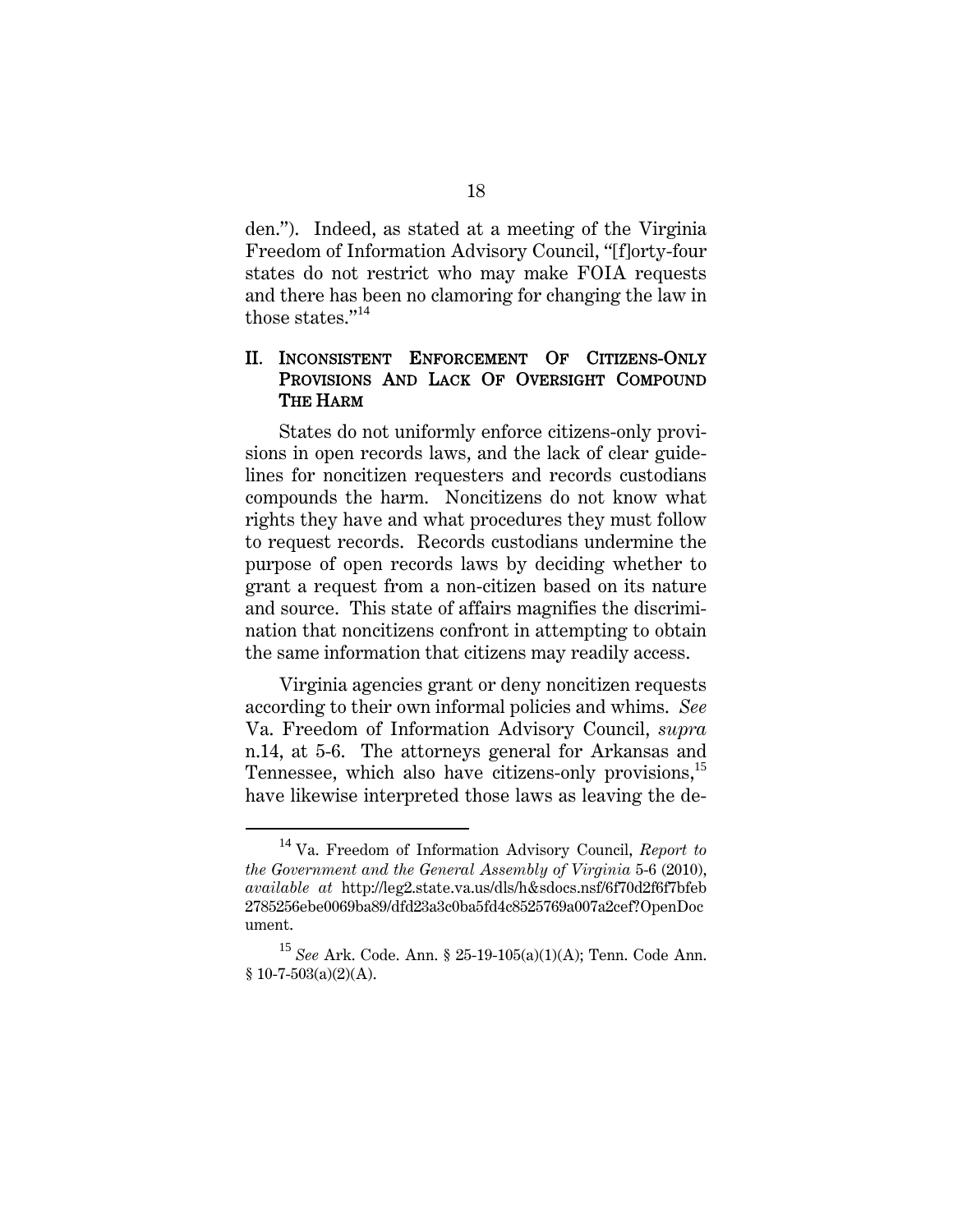den."). Indeed, as stated at a meeting of the Virginia Freedom of Information Advisory Council, "[f]orty-four states do not restrict who may make FOIA requests and there has been no clamoring for changing the law in those states."<sup>14</sup>

#### II. INCONSISTENT ENFORCEMENT OF CITIZENS-ONLY PROVISIONS AND LACK OF OVERSIGHT COMPOUND THE HARM

States do not uniformly enforce citizens-only provisions in open records laws, and the lack of clear guidelines for noncitizen requesters and records custodians compounds the harm. Noncitizens do not know what rights they have and what procedures they must follow to request records. Records custodians undermine the purpose of open records laws by deciding whether to grant a request from a non-citizen based on its nature and source. This state of affairs magnifies the discrimination that noncitizens confront in attempting to obtain the same information that citizens may readily access.

Virginia agencies grant or deny noncitizen requests according to their own informal policies and whims. *See*  Va. Freedom of Information Advisory Council, *supra* n.14, at 5-6. The attorneys general for Arkansas and Tennessee, which also have citizens-only provisions,<sup>15</sup> have likewise interpreted those laws as leaving the de-

<sup>14</sup> Va. Freedom of Information Advisory Council, *Report to the Government and the General Assembly of Virginia* 5-6 (2010), *available at* http://leg2.state.va.us/dls/h&sdocs.nsf/6f70d2f6f7bfeb 2785256ebe0069ba89/dfd23a3c0ba5fd4c8525769a007a2cef?OpenDoc ument.

<sup>15</sup> *See* Ark. Code. Ann. § 25-19-105(a)(1)(A); Tenn. Code Ann.  $$10-7-503(a)(2)(A).$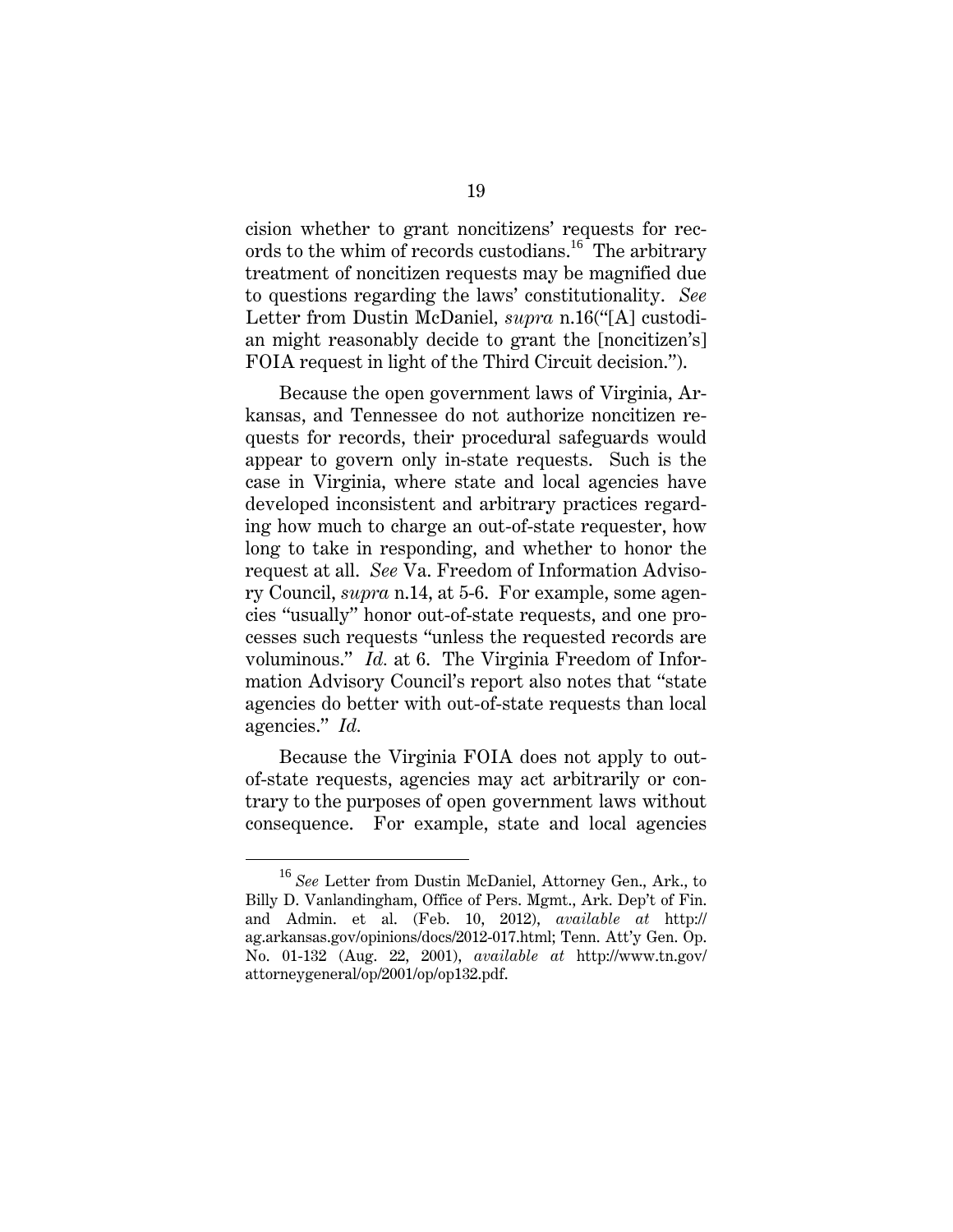cision whether to grant noncitizens' requests for records to the whim of records custodians.<sup>16</sup> The arbitrary treatment of noncitizen requests may be magnified due to questions regarding the laws' constitutionality. *See* Letter from Dustin McDaniel*, supra* n.16("[A] custodian might reasonably decide to grant the [noncitizen's] FOIA request in light of the Third Circuit decision.").

Because the open government laws of Virginia, Arkansas, and Tennessee do not authorize noncitizen requests for records, their procedural safeguards would appear to govern only in-state requests. Such is the case in Virginia, where state and local agencies have developed inconsistent and arbitrary practices regarding how much to charge an out-of-state requester, how long to take in responding, and whether to honor the request at all. *See* Va. Freedom of Information Advisory Council, *supra* n.14, at 5-6. For example, some agencies "usually" honor out-of-state requests, and one processes such requests "unless the requested records are voluminous." *Id.* at 6. The Virginia Freedom of Information Advisory Council's report also notes that "state agencies do better with out-of-state requests than local agencies." *Id.* 

Because the Virginia FOIA does not apply to outof-state requests, agencies may act arbitrarily or contrary to the purposes of open government laws without consequence. For example, state and local agencies

<sup>16</sup> *See* Letter from Dustin McDaniel, Attorney Gen., Ark., to Billy D. Vanlandingham, Office of Pers. Mgmt., Ark. Dep't of Fin. and Admin. et al. (Feb. 10, 2012), *available at* http:// ag.arkansas.gov/opinions/docs/2012-017.html; Tenn. Att'y Gen. Op. No. 01-132 (Aug. 22, 2001), *available at* http://www.tn.gov/ attorneygeneral/op/2001/op/op132.pdf.